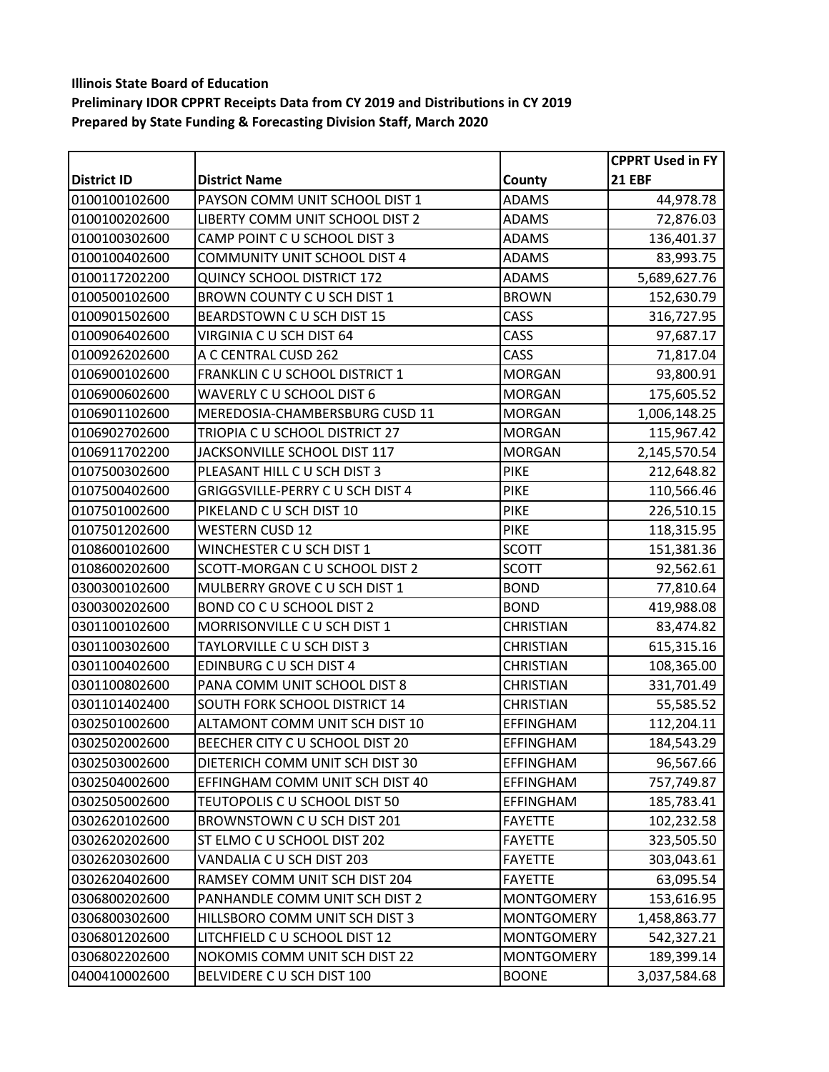|               |                                      |                   | <b>CPPRT Used in FY</b> |
|---------------|--------------------------------------|-------------------|-------------------------|
| District ID   | <b>District Name</b>                 | County            | <b>21 EBF</b>           |
| 0100100102600 | PAYSON COMM UNIT SCHOOL DIST 1       | <b>ADAMS</b>      | 44,978.78               |
| 0100100202600 | LIBERTY COMM UNIT SCHOOL DIST 2      | <b>ADAMS</b>      | 72,876.03               |
| 0100100302600 | CAMP POINT C U SCHOOL DIST 3         | <b>ADAMS</b>      | 136,401.37              |
| 0100100402600 | <b>COMMUNITY UNIT SCHOOL DIST 4</b>  | <b>ADAMS</b>      | 83,993.75               |
| 0100117202200 | <b>QUINCY SCHOOL DISTRICT 172</b>    | <b>ADAMS</b>      | 5,689,627.76            |
| 0100500102600 | BROWN COUNTY C U SCH DIST 1          | <b>BROWN</b>      | 152,630.79              |
| 0100901502600 | BEARDSTOWN C U SCH DIST 15           | CASS              | 316,727.95              |
| 0100906402600 | VIRGINIA CU SCH DIST 64              | CASS              | 97,687.17               |
| 0100926202600 | A C CENTRAL CUSD 262                 | CASS              | 71,817.04               |
| 0106900102600 | FRANKLIN C U SCHOOL DISTRICT 1       | <b>MORGAN</b>     | 93,800.91               |
| 0106900602600 | WAVERLY C U SCHOOL DIST 6            | <b>MORGAN</b>     | 175,605.52              |
| 0106901102600 | MEREDOSIA-CHAMBERSBURG CUSD 11       | <b>MORGAN</b>     | 1,006,148.25            |
| 0106902702600 | TRIOPIA C U SCHOOL DISTRICT 27       | <b>MORGAN</b>     | 115,967.42              |
| 0106911702200 | JACKSONVILLE SCHOOL DIST 117         | <b>MORGAN</b>     | 2,145,570.54            |
| 0107500302600 | PLEASANT HILL C U SCH DIST 3         | <b>PIKE</b>       | 212,648.82              |
| 0107500402600 | GRIGGSVILLE-PERRY C U SCH DIST 4     | <b>PIKE</b>       | 110,566.46              |
| 0107501002600 | PIKELAND C U SCH DIST 10             | <b>PIKE</b>       | 226,510.15              |
| 0107501202600 | <b>WESTERN CUSD 12</b>               | <b>PIKE</b>       | 118,315.95              |
| 0108600102600 | WINCHESTER C U SCH DIST 1            | <b>SCOTT</b>      | 151,381.36              |
| 0108600202600 | SCOTT-MORGAN C U SCHOOL DIST 2       | <b>SCOTT</b>      | 92,562.61               |
| 0300300102600 | MULBERRY GROVE C U SCH DIST 1        | <b>BOND</b>       | 77,810.64               |
| 0300300202600 | BOND CO C U SCHOOL DIST 2            | <b>BOND</b>       | 419,988.08              |
| 0301100102600 | MORRISONVILLE C U SCH DIST 1         | <b>CHRISTIAN</b>  | 83,474.82               |
| 0301100302600 | TAYLORVILLE C U SCH DIST 3           | <b>CHRISTIAN</b>  | 615,315.16              |
| 0301100402600 | EDINBURG C U SCH DIST 4              | <b>CHRISTIAN</b>  | 108,365.00              |
| 0301100802600 | PANA COMM UNIT SCHOOL DIST 8         | <b>CHRISTIAN</b>  | 331,701.49              |
| 0301101402400 | <b>SOUTH FORK SCHOOL DISTRICT 14</b> | <b>CHRISTIAN</b>  | 55,585.52               |
| 0302501002600 | ALTAMONT COMM UNIT SCH DIST 10       | <b>EFFINGHAM</b>  | 112,204.11              |
| 0302502002600 | BEECHER CITY C U SCHOOL DIST 20      | <b>EFFINGHAM</b>  | 184,543.29              |
| 0302503002600 | DIETERICH COMM UNIT SCH DIST 30      | <b>EFFINGHAM</b>  | 96,567.66               |
| 0302504002600 | EFFINGHAM COMM UNIT SCH DIST 40      | <b>EFFINGHAM</b>  | 757,749.87              |
| 0302505002600 | TEUTOPOLIS C U SCHOOL DIST 50        | <b>EFFINGHAM</b>  | 185,783.41              |
| 0302620102600 | BROWNSTOWN CU SCH DIST 201           | <b>FAYETTE</b>    | 102,232.58              |
| 0302620202600 | ST ELMO C U SCHOOL DIST 202          | <b>FAYETTE</b>    | 323,505.50              |
| 0302620302600 | VANDALIA C U SCH DIST 203            | <b>FAYETTE</b>    | 303,043.61              |
| 0302620402600 | RAMSEY COMM UNIT SCH DIST 204        | <b>FAYETTE</b>    | 63,095.54               |
| 0306800202600 | PANHANDLE COMM UNIT SCH DIST 2       | <b>MONTGOMERY</b> | 153,616.95              |
| 0306800302600 | HILLSBORO COMM UNIT SCH DIST 3       | <b>MONTGOMERY</b> | 1,458,863.77            |
| 0306801202600 | LITCHFIELD C U SCHOOL DIST 12        | <b>MONTGOMERY</b> | 542,327.21              |
| 0306802202600 | NOKOMIS COMM UNIT SCH DIST 22        | <b>MONTGOMERY</b> | 189,399.14              |
| 0400410002600 | BELVIDERE C U SCH DIST 100           | <b>BOONE</b>      | 3,037,584.68            |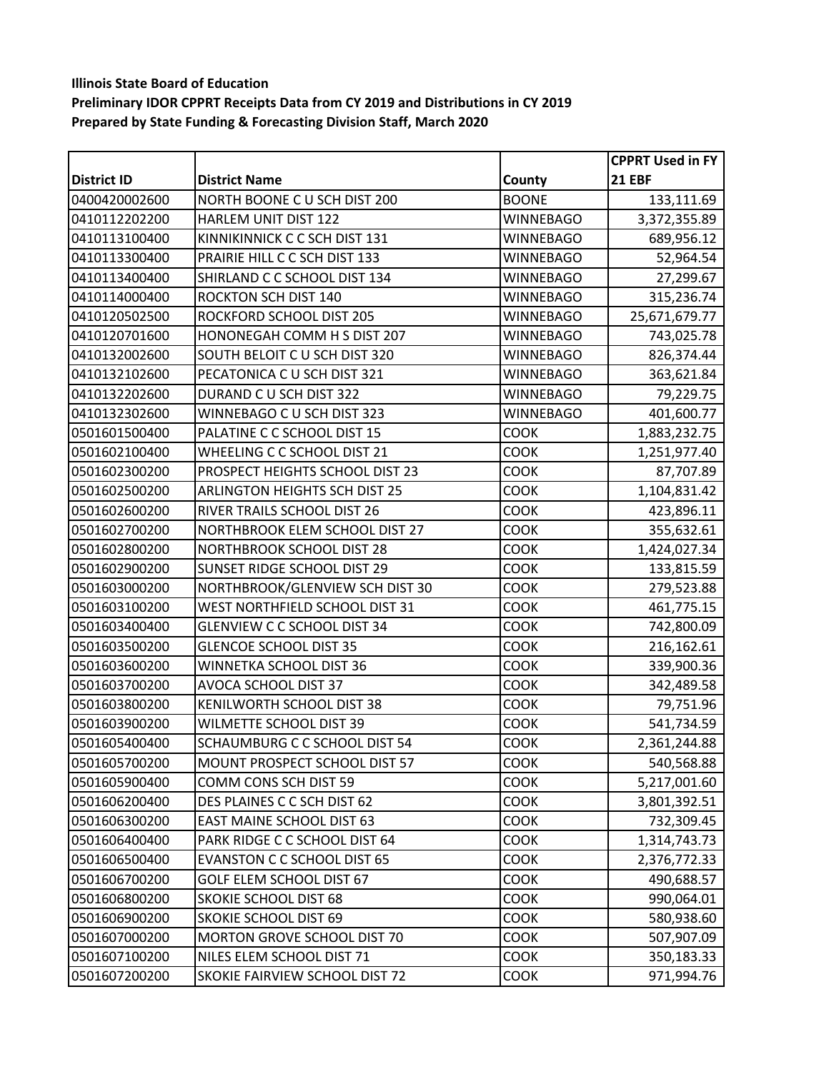|                    |                                      |                  | <b>CPPRT Used in FY</b> |
|--------------------|--------------------------------------|------------------|-------------------------|
| <b>District ID</b> | <b>District Name</b>                 | County           | <b>21 EBF</b>           |
| 0400420002600      | NORTH BOONE C U SCH DIST 200         | <b>BOONE</b>     | 133,111.69              |
| 0410112202200      | HARLEM UNIT DIST 122                 | <b>WINNEBAGO</b> | 3,372,355.89            |
| 0410113100400      | KINNIKINNICK C C SCH DIST 131        | <b>WINNEBAGO</b> | 689,956.12              |
| 0410113300400      | PRAIRIE HILL C C SCH DIST 133        | WINNEBAGO        | 52,964.54               |
| 0410113400400      | SHIRLAND C C SCHOOL DIST 134         | WINNEBAGO        | 27,299.67               |
| 0410114000400      | <b>ROCKTON SCH DIST 140</b>          | <b>WINNEBAGO</b> | 315,236.74              |
| 0410120502500      | ROCKFORD SCHOOL DIST 205             | WINNEBAGO        | 25,671,679.77           |
| 0410120701600      | HONONEGAH COMM H S DIST 207          | <b>WINNEBAGO</b> | 743,025.78              |
| 0410132002600      | SOUTH BELOIT C U SCH DIST 320        | WINNEBAGO        | 826,374.44              |
| 0410132102600      | PECATONICA C U SCH DIST 321          | <b>WINNEBAGO</b> | 363,621.84              |
| 0410132202600      | DURAND C U SCH DIST 322              | <b>WINNEBAGO</b> | 79,229.75               |
| 0410132302600      | WINNEBAGO C U SCH DIST 323           | <b>WINNEBAGO</b> | 401,600.77              |
| 0501601500400      | PALATINE C C SCHOOL DIST 15          | <b>COOK</b>      | 1,883,232.75            |
| 0501602100400      | WHEELING C C SCHOOL DIST 21          | <b>COOK</b>      | 1,251,977.40            |
| 0501602300200      | PROSPECT HEIGHTS SCHOOL DIST 23      | <b>COOK</b>      | 87,707.89               |
| 0501602500200      | <b>ARLINGTON HEIGHTS SCH DIST 25</b> | <b>COOK</b>      | 1,104,831.42            |
| 0501602600200      | RIVER TRAILS SCHOOL DIST 26          | COOK             | 423,896.11              |
| 0501602700200      | NORTHBROOK ELEM SCHOOL DIST 27       | <b>COOK</b>      | 355,632.61              |
| 0501602800200      | <b>NORTHBROOK SCHOOL DIST 28</b>     | <b>COOK</b>      | 1,424,027.34            |
| 0501602900200      | SUNSET RIDGE SCHOOL DIST 29          | <b>COOK</b>      | 133,815.59              |
| 0501603000200      | NORTHBROOK/GLENVIEW SCH DIST 30      | <b>COOK</b>      | 279,523.88              |
| 0501603100200      | WEST NORTHFIELD SCHOOL DIST 31       | COOK             | 461,775.15              |
| 0501603400400      | <b>GLENVIEW C C SCHOOL DIST 34</b>   | <b>COOK</b>      | 742,800.09              |
| 0501603500200      | <b>GLENCOE SCHOOL DIST 35</b>        | <b>COOK</b>      | 216,162.61              |
| 0501603600200      | WINNETKA SCHOOL DIST 36              | <b>COOK</b>      | 339,900.36              |
| 0501603700200      | AVOCA SCHOOL DIST 37                 | <b>COOK</b>      | 342,489.58              |
| 0501603800200      | KENILWORTH SCHOOL DIST 38            | <b>COOK</b>      | 79,751.96               |
| 0501603900200      | WILMETTE SCHOOL DIST 39              | <b>COOK</b>      | 541,734.59              |
| 0501605400400      | SCHAUMBURG C C SCHOOL DIST 54        | <b>COOK</b>      | 2,361,244.88            |
| 0501605700200      | MOUNT PROSPECT SCHOOL DIST 57        | COOK             | 540,568.88              |
| 0501605900400      | COMM CONS SCH DIST 59                | <b>COOK</b>      | 5,217,001.60            |
| 0501606200400      | DES PLAINES C C SCH DIST 62          | <b>COOK</b>      | 3,801,392.51            |
| 0501606300200      | <b>EAST MAINE SCHOOL DIST 63</b>     | <b>COOK</b>      | 732,309.45              |
| 0501606400400      | PARK RIDGE C C SCHOOL DIST 64        | <b>COOK</b>      | 1,314,743.73            |
| 0501606500400      | <b>EVANSTON C C SCHOOL DIST 65</b>   | <b>COOK</b>      | 2,376,772.33            |
| 0501606700200      | GOLF ELEM SCHOOL DIST 67             | <b>COOK</b>      | 490,688.57              |
| 0501606800200      | <b>SKOKIE SCHOOL DIST 68</b>         | <b>COOK</b>      | 990,064.01              |
| 0501606900200      | <b>SKOKIE SCHOOL DIST 69</b>         | <b>COOK</b>      | 580,938.60              |
| 0501607000200      | MORTON GROVE SCHOOL DIST 70          | <b>COOK</b>      | 507,907.09              |
| 0501607100200      | NILES ELEM SCHOOL DIST 71            | <b>COOK</b>      | 350,183.33              |
| 0501607200200      | SKOKIE FAIRVIEW SCHOOL DIST 72       | <b>COOK</b>      | 971,994.76              |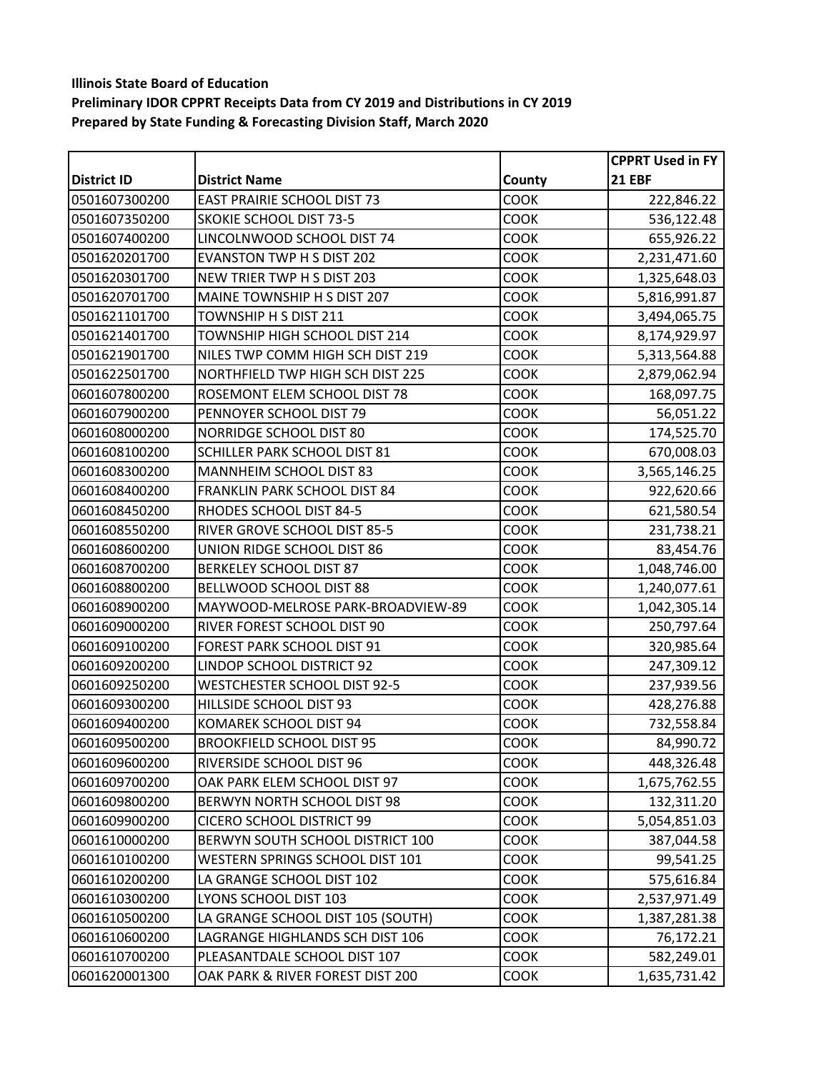|                    |                                     |             | <b>CPPRT Used in FY</b> |
|--------------------|-------------------------------------|-------------|-------------------------|
| <b>District ID</b> | <b>District Name</b>                | County      | <b>21 EBF</b>           |
| 0501607300200      | <b>EAST PRAIRIE SCHOOL DIST 73</b>  | <b>COOK</b> | 222,846.22              |
| 0501607350200      | <b>SKOKIE SCHOOL DIST 73-5</b>      | <b>COOK</b> | 536,122.48              |
| 0501607400200      | LINCOLNWOOD SCHOOL DIST 74          | <b>COOK</b> | 655,926.22              |
| 0501620201700      | <b>EVANSTON TWP H S DIST 202</b>    | <b>COOK</b> | 2,231,471.60            |
| 0501620301700      | NEW TRIER TWP H S DIST 203          | <b>COOK</b> | 1,325,648.03            |
| 0501620701700      | MAINE TOWNSHIP H S DIST 207         | <b>COOK</b> | 5,816,991.87            |
| 0501621101700      | TOWNSHIP H S DIST 211               | COOK        | 3,494,065.75            |
| 0501621401700      | TOWNSHIP HIGH SCHOOL DIST 214       | <b>COOK</b> | 8,174,929.97            |
| 0501621901700      | NILES TWP COMM HIGH SCH DIST 219    | <b>COOK</b> | 5,313,564.88            |
| 0501622501700      | NORTHFIELD TWP HIGH SCH DIST 225    | <b>COOK</b> | 2,879,062.94            |
| 0601607800200      | ROSEMONT ELEM SCHOOL DIST 78        | COOK        | 168,097.75              |
| 0601607900200      | PENNOYER SCHOOL DIST 79             | <b>COOK</b> | 56,051.22               |
| 0601608000200      | NORRIDGE SCHOOL DIST 80             | <b>COOK</b> | 174,525.70              |
| 0601608100200      | SCHILLER PARK SCHOOL DIST 81        | <b>COOK</b> | 670,008.03              |
| 0601608300200      | MANNHEIM SCHOOL DIST 83             | <b>COOK</b> | 3,565,146.25            |
| 0601608400200      | <b>FRANKLIN PARK SCHOOL DIST 84</b> | COOK        | 922,620.66              |
| 0601608450200      | RHODES SCHOOL DIST 84-5             | <b>COOK</b> | 621,580.54              |
| 0601608550200      | RIVER GROVE SCHOOL DIST 85-5        | <b>COOK</b> | 231,738.21              |
| 0601608600200      | UNION RIDGE SCHOOL DIST 86          | <b>COOK</b> | 83,454.76               |
| 0601608700200      | <b>BERKELEY SCHOOL DIST 87</b>      | <b>COOK</b> | 1,048,746.00            |
| 0601608800200      | BELLWOOD SCHOOL DIST 88             | <b>COOK</b> | 1,240,077.61            |
| 0601608900200      | MAYWOOD-MELROSE PARK-BROADVIEW-89   | <b>COOK</b> | 1,042,305.14            |
| 0601609000200      | RIVER FOREST SCHOOL DIST 90         | <b>COOK</b> | 250,797.64              |
| 0601609100200      | FOREST PARK SCHOOL DIST 91          | <b>COOK</b> | 320,985.64              |
| 0601609200200      | LINDOP SCHOOL DISTRICT 92           | <b>COOK</b> | 247,309.12              |
| 0601609250200      | WESTCHESTER SCHOOL DIST 92-5        | <b>COOK</b> | 237,939.56              |
| 0601609300200      | HILLSIDE SCHOOL DIST 93             | COOK        | 428,276.88              |
| 0601609400200      | KOMAREK SCHOOL DIST 94              | <b>COOK</b> | 732,558.84              |
| 0601609500200      | <b>BROOKFIELD SCHOOL DIST 95</b>    | <b>COOK</b> | 84,990.72               |
| 0601609600200      | RIVERSIDE SCHOOL DIST 96            | COOK        | 448,326.48              |
| 0601609700200      | OAK PARK ELEM SCHOOL DIST 97        | <b>COOK</b> | 1,675,762.55            |
| 0601609800200      | BERWYN NORTH SCHOOL DIST 98         | <b>COOK</b> | 132,311.20              |
| 0601609900200      | <b>CICERO SCHOOL DISTRICT 99</b>    | <b>COOK</b> | 5,054,851.03            |
| 0601610000200      | BERWYN SOUTH SCHOOL DISTRICT 100    | COOK        | 387,044.58              |
| 0601610100200      | WESTERN SPRINGS SCHOOL DIST 101     | <b>COOK</b> | 99,541.25               |
| 0601610200200      | LA GRANGE SCHOOL DIST 102           | <b>COOK</b> | 575,616.84              |
| 0601610300200      | LYONS SCHOOL DIST 103               | <b>COOK</b> | 2,537,971.49            |
| 0601610500200      | LA GRANGE SCHOOL DIST 105 (SOUTH)   | <b>COOK</b> | 1,387,281.38            |
| 0601610600200      | LAGRANGE HIGHLANDS SCH DIST 106     | <b>COOK</b> | 76,172.21               |
| 0601610700200      | PLEASANTDALE SCHOOL DIST 107        | <b>COOK</b> | 582,249.01              |
| 0601620001300      | OAK PARK & RIVER FOREST DIST 200    | <b>COOK</b> | 1,635,731.42            |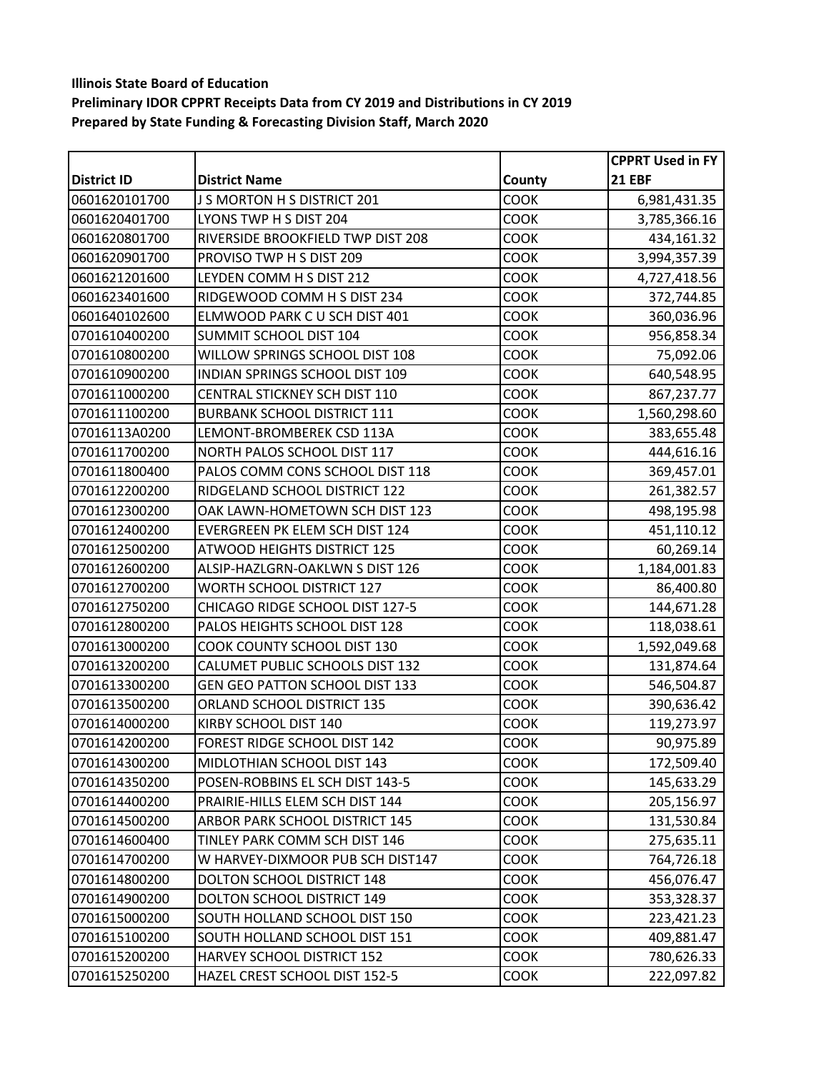|                    |                                       |             | <b>CPPRT Used in FY</b> |
|--------------------|---------------------------------------|-------------|-------------------------|
| <b>District ID</b> | <b>District Name</b>                  | County      | <b>21 EBF</b>           |
| 0601620101700      | J S MORTON H S DISTRICT 201           | <b>COOK</b> | 6,981,431.35            |
| 0601620401700      | LYONS TWP H S DIST 204                | <b>COOK</b> | 3,785,366.16            |
| 0601620801700      | RIVERSIDE BROOKFIELD TWP DIST 208     | <b>COOK</b> | 434,161.32              |
| 0601620901700      | PROVISO TWP H S DIST 209              | <b>COOK</b> | 3,994,357.39            |
| 0601621201600      | LEYDEN COMM H S DIST 212              | <b>COOK</b> | 4,727,418.56            |
| 0601623401600      | RIDGEWOOD COMM H S DIST 234           | <b>COOK</b> | 372,744.85              |
| 0601640102600      | ELMWOOD PARK CU SCH DIST 401          | COOK        | 360,036.96              |
| 0701610400200      | SUMMIT SCHOOL DIST 104                | <b>COOK</b> | 956,858.34              |
| 0701610800200      | WILLOW SPRINGS SCHOOL DIST 108        | <b>COOK</b> | 75,092.06               |
| 0701610900200      | INDIAN SPRINGS SCHOOL DIST 109        | <b>COOK</b> | 640,548.95              |
| 0701611000200      | CENTRAL STICKNEY SCH DIST 110         | <b>COOK</b> | 867,237.77              |
| 0701611100200      | <b>BURBANK SCHOOL DISTRICT 111</b>    | <b>COOK</b> | 1,560,298.60            |
| 07016113A0200      | LEMONT-BROMBEREK CSD 113A             | <b>COOK</b> | 383,655.48              |
| 0701611700200      | NORTH PALOS SCHOOL DIST 117           | <b>COOK</b> | 444,616.16              |
| 0701611800400      | PALOS COMM CONS SCHOOL DIST 118       | <b>COOK</b> | 369,457.01              |
| 0701612200200      | RIDGELAND SCHOOL DISTRICT 122         | COOK        | 261,382.57              |
| 0701612300200      | OAK LAWN-HOMETOWN SCH DIST 123        | <b>COOK</b> | 498,195.98              |
| 0701612400200      | EVERGREEN PK ELEM SCH DIST 124        | <b>COOK</b> | 451,110.12              |
| 0701612500200      | <b>ATWOOD HEIGHTS DISTRICT 125</b>    | <b>COOK</b> | 60,269.14               |
| 0701612600200      | ALSIP-HAZLGRN-OAKLWN S DIST 126       | <b>COOK</b> | 1,184,001.83            |
| 0701612700200      | <b>WORTH SCHOOL DISTRICT 127</b>      | <b>COOK</b> | 86,400.80               |
| 0701612750200      | CHICAGO RIDGE SCHOOL DIST 127-5       | <b>COOK</b> | 144,671.28              |
| 0701612800200      | PALOS HEIGHTS SCHOOL DIST 128         | <b>COOK</b> | 118,038.61              |
| 0701613000200      | COOK COUNTY SCHOOL DIST 130           | <b>COOK</b> | 1,592,049.68            |
| 0701613200200      | CALUMET PUBLIC SCHOOLS DIST 132       | <b>COOK</b> | 131,874.64              |
| 0701613300200      | <b>GEN GEO PATTON SCHOOL DIST 133</b> | <b>COOK</b> | 546,504.87              |
| 0701613500200      | ORLAND SCHOOL DISTRICT 135            | <b>COOK</b> | 390,636.42              |
| 0701614000200      | KIRBY SCHOOL DIST 140                 | <b>COOK</b> | 119,273.97              |
| 0701614200200      | FOREST RIDGE SCHOOL DIST 142          | COOK        | 90,975.89               |
| 0701614300200      | MIDLOTHIAN SCHOOL DIST 143            | COOK        | 172,509.40              |
| 0701614350200      | POSEN-ROBBINS EL SCH DIST 143-5       | <b>COOK</b> | 145,633.29              |
| 0701614400200      | PRAIRIE-HILLS ELEM SCH DIST 144       | <b>COOK</b> | 205,156.97              |
| 0701614500200      | ARBOR PARK SCHOOL DISTRICT 145        | <b>COOK</b> | 131,530.84              |
| 0701614600400      | TINLEY PARK COMM SCH DIST 146         | <b>COOK</b> | 275,635.11              |
| 0701614700200      | W HARVEY-DIXMOOR PUB SCH DIST147      | <b>COOK</b> | 764,726.18              |
| 0701614800200      | DOLTON SCHOOL DISTRICT 148            | <b>COOK</b> | 456,076.47              |
| 0701614900200      | DOLTON SCHOOL DISTRICT 149            | <b>COOK</b> | 353,328.37              |
| 0701615000200      | SOUTH HOLLAND SCHOOL DIST 150         | <b>COOK</b> | 223,421.23              |
| 0701615100200      | SOUTH HOLLAND SCHOOL DIST 151         | <b>COOK</b> | 409,881.47              |
| 0701615200200      | HARVEY SCHOOL DISTRICT 152            | <b>COOK</b> | 780,626.33              |
| 0701615250200      | HAZEL CREST SCHOOL DIST 152-5         | COOK        | 222,097.82              |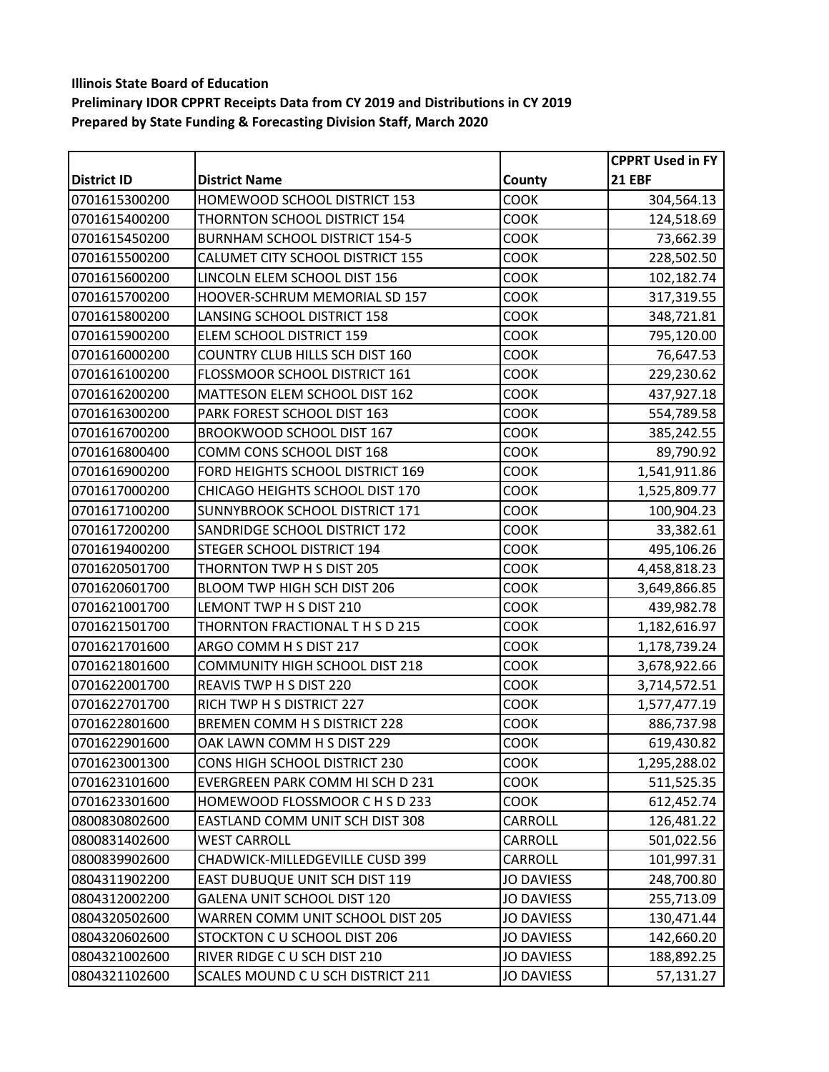|                    |                                       |                   | <b>CPPRT Used in FY</b> |
|--------------------|---------------------------------------|-------------------|-------------------------|
| <b>District ID</b> | <b>District Name</b>                  | County            | <b>21 EBF</b>           |
| 0701615300200      | HOMEWOOD SCHOOL DISTRICT 153          | <b>COOK</b>       | 304,564.13              |
| 0701615400200      | THORNTON SCHOOL DISTRICT 154          | <b>COOK</b>       | 124,518.69              |
| 0701615450200      | <b>BURNHAM SCHOOL DISTRICT 154-5</b>  | <b>COOK</b>       | 73,662.39               |
| 0701615500200      | CALUMET CITY SCHOOL DISTRICT 155      | COOK              | 228,502.50              |
| 0701615600200      | LINCOLN ELEM SCHOOL DIST 156          | <b>COOK</b>       | 102,182.74              |
| 0701615700200      | HOOVER-SCHRUM MEMORIAL SD 157         | <b>COOK</b>       | 317,319.55              |
| 0701615800200      | LANSING SCHOOL DISTRICT 158           | <b>COOK</b>       | 348,721.81              |
| 0701615900200      | ELEM SCHOOL DISTRICT 159              | <b>COOK</b>       | 795,120.00              |
| 0701616000200      | COUNTRY CLUB HILLS SCH DIST 160       | <b>COOK</b>       | 76,647.53               |
| 0701616100200      | FLOSSMOOR SCHOOL DISTRICT 161         | <b>COOK</b>       | 229,230.62              |
| 0701616200200      | MATTESON ELEM SCHOOL DIST 162         | COOK              | 437,927.18              |
| 0701616300200      | PARK FOREST SCHOOL DIST 163           | <b>COOK</b>       | 554,789.58              |
| 0701616700200      | BROOKWOOD SCHOOL DIST 167             | <b>COOK</b>       | 385,242.55              |
| 0701616800400      | COMM CONS SCHOOL DIST 168             | <b>COOK</b>       | 89,790.92               |
| 0701616900200      | FORD HEIGHTS SCHOOL DISTRICT 169      | <b>COOK</b>       | 1,541,911.86            |
| 0701617000200      | CHICAGO HEIGHTS SCHOOL DIST 170       | COOK              | 1,525,809.77            |
| 0701617100200      | SUNNYBROOK SCHOOL DISTRICT 171        | <b>COOK</b>       | 100,904.23              |
| 0701617200200      | SANDRIDGE SCHOOL DISTRICT 172         | <b>COOK</b>       | 33,382.61               |
| 0701619400200      | STEGER SCHOOL DISTRICT 194            | <b>COOK</b>       | 495,106.26              |
| 0701620501700      | THORNTON TWP H S DIST 205             | COOK              | 4,458,818.23            |
| 0701620601700      | BLOOM TWP HIGH SCH DIST 206           | <b>COOK</b>       | 3,649,866.85            |
| 0701621001700      | LEMONT TWP H S DIST 210               | <b>COOK</b>       | 439,982.78              |
| 0701621501700      | THORNTON FRACTIONAL THSD 215          | <b>COOK</b>       | 1,182,616.97            |
| 0701621701600      | ARGO COMM H S DIST 217                | <b>COOK</b>       | 1,178,739.24            |
| 0701621801600      | COMMUNITY HIGH SCHOOL DIST 218        | <b>COOK</b>       | 3,678,922.66            |
| 0701622001700      | REAVIS TWP H S DIST 220               | <b>COOK</b>       | 3,714,572.51            |
| 0701622701700      | RICH TWP H S DISTRICT 227             | <b>COOK</b>       | 1,577,477.19            |
| 0701622801600      | BREMEN COMM H S DISTRICT 228          | <b>COOK</b>       | 886,737.98              |
| 0701622901600      | OAK LAWN COMM H S DIST 229            | <b>COOK</b>       | 619,430.82              |
| 0701623001300      | CONS HIGH SCHOOL DISTRICT 230         | COOK              | 1,295,288.02            |
| 0701623101600      | EVERGREEN PARK COMM HI SCH D 231      | <b>COOK</b>       | 511,525.35              |
| 0701623301600      | HOMEWOOD FLOSSMOOR C H S D 233        | <b>COOK</b>       | 612,452.74              |
| 0800830802600      | EASTLAND COMM UNIT SCH DIST 308       | CARROLL           | 126,481.22              |
| 0800831402600      | WEST CARROLL                          | <b>CARROLL</b>    | 501,022.56              |
| 0800839902600      | CHADWICK-MILLEDGEVILLE CUSD 399       | CARROLL           | 101,997.31              |
| 0804311902200      | <b>EAST DUBUQUE UNIT SCH DIST 119</b> | <b>JO DAVIESS</b> | 248,700.80              |
| 0804312002200      | <b>GALENA UNIT SCHOOL DIST 120</b>    | <b>JO DAVIESS</b> | 255,713.09              |
| 0804320502600      | WARREN COMM UNIT SCHOOL DIST 205      | <b>JO DAVIESS</b> | 130,471.44              |
| 0804320602600      | STOCKTON C U SCHOOL DIST 206          | <b>JO DAVIESS</b> | 142,660.20              |
| 0804321002600      | RIVER RIDGE C U SCH DIST 210          | <b>JO DAVIESS</b> | 188,892.25              |
| 0804321102600      | SCALES MOUND C U SCH DISTRICT 211     | <b>JO DAVIESS</b> | 57,131.27               |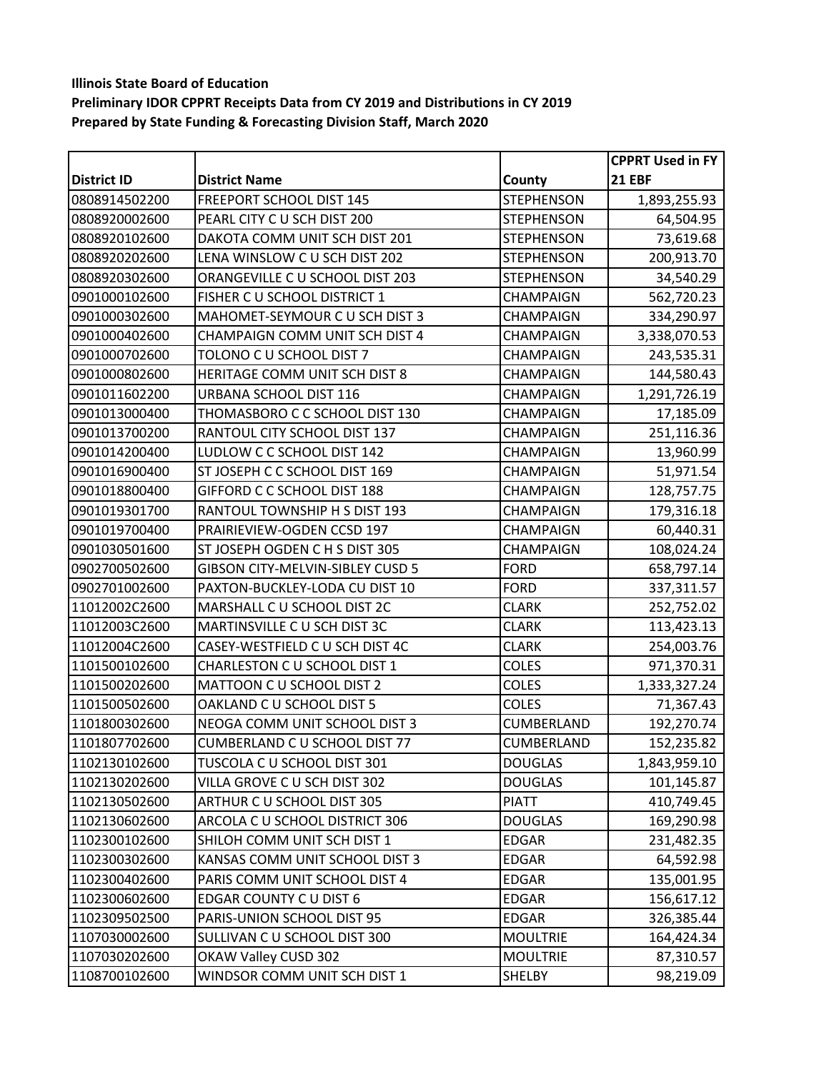|                    |                                  |                   | <b>CPPRT Used in FY</b> |
|--------------------|----------------------------------|-------------------|-------------------------|
| <b>District ID</b> | <b>District Name</b>             | County            | <b>21 EBF</b>           |
| 0808914502200      | FREEPORT SCHOOL DIST 145         | <b>STEPHENSON</b> | 1,893,255.93            |
| 0808920002600      | PEARL CITY C U SCH DIST 200      | <b>STEPHENSON</b> | 64,504.95               |
| 0808920102600      | DAKOTA COMM UNIT SCH DIST 201    | <b>STEPHENSON</b> | 73,619.68               |
| 0808920202600      | LENA WINSLOW C U SCH DIST 202    | <b>STEPHENSON</b> | 200,913.70              |
| 0808920302600      | ORANGEVILLE C U SCHOOL DIST 203  | <b>STEPHENSON</b> | 34,540.29               |
| 0901000102600      | FISHER C U SCHOOL DISTRICT 1     | CHAMPAIGN         | 562,720.23              |
| 0901000302600      | MAHOMET-SEYMOUR C U SCH DIST 3   | CHAMPAIGN         | 334,290.97              |
| 0901000402600      | CHAMPAIGN COMM UNIT SCH DIST 4   | CHAMPAIGN         | 3,338,070.53            |
| 0901000702600      | TOLONO C U SCHOOL DIST 7         | <b>CHAMPAIGN</b>  | 243,535.31              |
| 0901000802600      | HERITAGE COMM UNIT SCH DIST 8    | CHAMPAIGN         | 144,580.43              |
| 0901011602200      | URBANA SCHOOL DIST 116           | <b>CHAMPAIGN</b>  | 1,291,726.19            |
| 0901013000400      | THOMASBORO C C SCHOOL DIST 130   | <b>CHAMPAIGN</b>  | 17,185.09               |
| 0901013700200      | RANTOUL CITY SCHOOL DIST 137     | CHAMPAIGN         | 251,116.36              |
| 0901014200400      | LUDLOW C C SCHOOL DIST 142       | CHAMPAIGN         | 13,960.99               |
| 0901016900400      | ST JOSEPH C C SCHOOL DIST 169    | CHAMPAIGN         | 51,971.54               |
| 0901018800400      | GIFFORD C C SCHOOL DIST 188      | CHAMPAIGN         | 128,757.75              |
| 0901019301700      | RANTOUL TOWNSHIP H S DIST 193    | <b>CHAMPAIGN</b>  | 179,316.18              |
| 0901019700400      | PRAIRIEVIEW-OGDEN CCSD 197       | CHAMPAIGN         | 60,440.31               |
| 0901030501600      | ST JOSEPH OGDEN C H S DIST 305   | CHAMPAIGN         | 108,024.24              |
| 0902700502600      | GIBSON CITY-MELVIN-SIBLEY CUSD 5 | <b>FORD</b>       | 658,797.14              |
| 0902701002600      | PAXTON-BUCKLEY-LODA CU DIST 10   | <b>FORD</b>       | 337,311.57              |
| 11012002C2600      | MARSHALL C U SCHOOL DIST 2C      | <b>CLARK</b>      | 252,752.02              |
| 11012003C2600      | MARTINSVILLE C U SCH DIST 3C     | <b>CLARK</b>      | 113,423.13              |
| 11012004C2600      | CASEY-WESTFIELD C U SCH DIST 4C  | <b>CLARK</b>      | 254,003.76              |
| 1101500102600      | CHARLESTON C U SCHOOL DIST 1     | <b>COLES</b>      | 971,370.31              |
| 1101500202600      | MATTOON C U SCHOOL DIST 2        | <b>COLES</b>      | 1,333,327.24            |
| 1101500502600      | OAKLAND C U SCHOOL DIST 5        | <b>COLES</b>      | 71,367.43               |
| 1101800302600      | NEOGA COMM UNIT SCHOOL DIST 3    | CUMBERLAND        | 192,270.74              |
| 1101807702600      | CUMBERLAND C U SCHOOL DIST 77    | CUMBERLAND        | 152,235.82              |
| 1102130102600      | TUSCOLA C U SCHOOL DIST 301      | <b>DOUGLAS</b>    | 1,843,959.10            |
| 1102130202600      | VILLA GROVE C U SCH DIST 302     | <b>DOUGLAS</b>    | 101,145.87              |
| 1102130502600      | ARTHUR C U SCHOOL DIST 305       | <b>PIATT</b>      | 410,749.45              |
| 1102130602600      | ARCOLA C U SCHOOL DISTRICT 306   | <b>DOUGLAS</b>    | 169,290.98              |
| 1102300102600      | SHILOH COMM UNIT SCH DIST 1      | <b>EDGAR</b>      | 231,482.35              |
| 1102300302600      | KANSAS COMM UNIT SCHOOL DIST 3   | <b>EDGAR</b>      | 64,592.98               |
| 1102300402600      | PARIS COMM UNIT SCHOOL DIST 4    | <b>EDGAR</b>      | 135,001.95              |
| 1102300602600      | EDGAR COUNTY CU DIST 6           | <b>EDGAR</b>      | 156,617.12              |
| 1102309502500      | PARIS-UNION SCHOOL DIST 95       | <b>EDGAR</b>      | 326,385.44              |
| 1107030002600      | SULLIVAN C U SCHOOL DIST 300     | <b>MOULTRIE</b>   | 164,424.34              |
| 1107030202600      | OKAW Valley CUSD 302             | <b>MOULTRIE</b>   | 87,310.57               |
| 1108700102600      | WINDSOR COMM UNIT SCH DIST 1     | SHELBY            | 98,219.09               |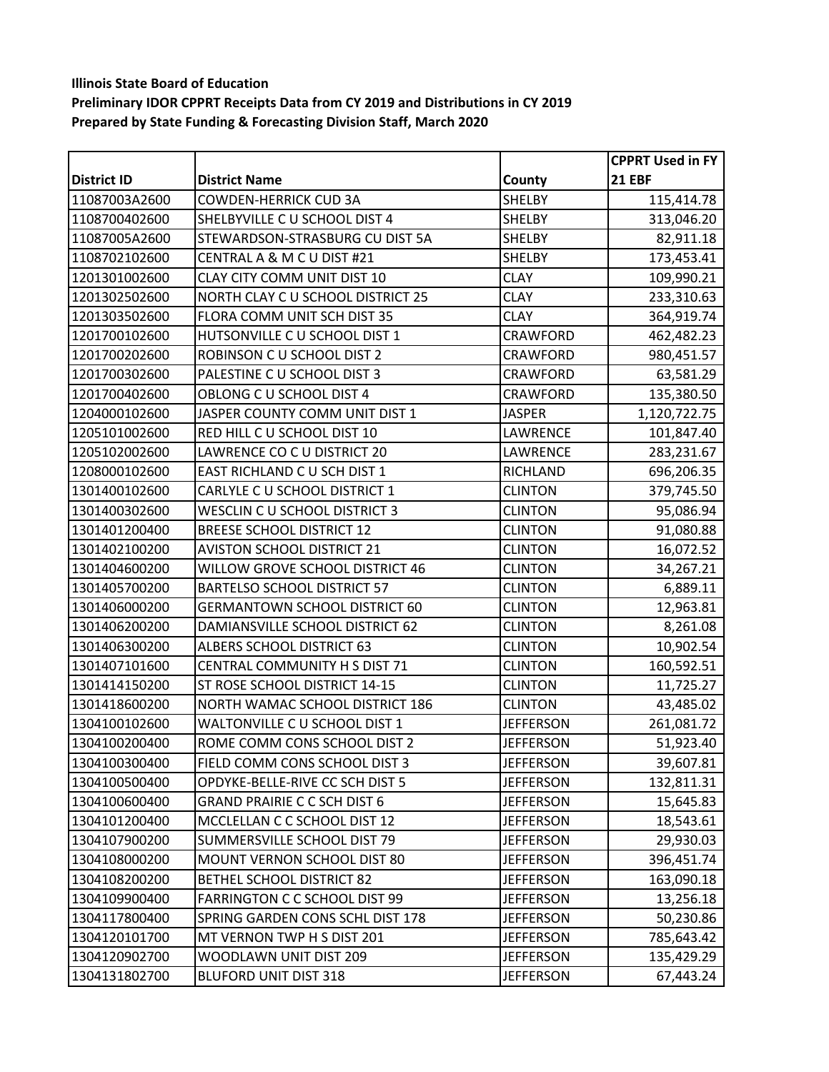|                    |                                      |                  | <b>CPPRT Used in FY</b> |
|--------------------|--------------------------------------|------------------|-------------------------|
| <b>District ID</b> | <b>District Name</b>                 | County           | <b>21 EBF</b>           |
| 11087003A2600      | <b>COWDEN-HERRICK CUD 3A</b>         | <b>SHELBY</b>    | 115,414.78              |
| 1108700402600      | SHELBYVILLE C U SCHOOL DIST 4        | SHELBY           | 313,046.20              |
| 11087005A2600      | STEWARDSON-STRASBURG CU DIST 5A      | SHELBY           | 82,911.18               |
| 1108702102600      | CENTRAL A & M C U DIST #21           | SHELBY           | 173,453.41              |
| 1201301002600      | <b>CLAY CITY COMM UNIT DIST 10</b>   | <b>CLAY</b>      | 109,990.21              |
| 1201302502600      | NORTH CLAY C U SCHOOL DISTRICT 25    | <b>CLAY</b>      | 233,310.63              |
| 1201303502600      | FLORA COMM UNIT SCH DIST 35          | <b>CLAY</b>      | 364,919.74              |
| 1201700102600      | HUTSONVILLE C U SCHOOL DIST 1        | CRAWFORD         | 462,482.23              |
| 1201700202600      | ROBINSON C U SCHOOL DIST 2           | <b>CRAWFORD</b>  | 980,451.57              |
| 1201700302600      | PALESTINE C U SCHOOL DIST 3          | CRAWFORD         | 63,581.29               |
| 1201700402600      | OBLONG C U SCHOOL DIST 4             | CRAWFORD         | 135,380.50              |
| 1204000102600      | JASPER COUNTY COMM UNIT DIST 1       | <b>JASPER</b>    | 1,120,722.75            |
| 1205101002600      | RED HILL C U SCHOOL DIST 10          | LAWRENCE         | 101,847.40              |
| 1205102002600      | LAWRENCE CO C U DISTRICT 20          | LAWRENCE         | 283,231.67              |
| 1208000102600      | EAST RICHLAND C U SCH DIST 1         | RICHLAND         | 696,206.35              |
| 1301400102600      | CARLYLE C U SCHOOL DISTRICT 1        | <b>CLINTON</b>   | 379,745.50              |
| 1301400302600      | WESCLIN C U SCHOOL DISTRICT 3        | <b>CLINTON</b>   | 95,086.94               |
| 1301401200400      | <b>BREESE SCHOOL DISTRICT 12</b>     | <b>CLINTON</b>   | 91,080.88               |
| 1301402100200      | <b>AVISTON SCHOOL DISTRICT 21</b>    | <b>CLINTON</b>   | 16,072.52               |
| 1301404600200      | WILLOW GROVE SCHOOL DISTRICT 46      | <b>CLINTON</b>   | 34,267.21               |
| 1301405700200      | <b>BARTELSO SCHOOL DISTRICT 57</b>   | <b>CLINTON</b>   | 6,889.11                |
| 1301406000200      | <b>GERMANTOWN SCHOOL DISTRICT 60</b> | <b>CLINTON</b>   | 12,963.81               |
| 1301406200200      | DAMIANSVILLE SCHOOL DISTRICT 62      | <b>CLINTON</b>   | 8,261.08                |
| 1301406300200      | ALBERS SCHOOL DISTRICT 63            | <b>CLINTON</b>   | 10,902.54               |
| 1301407101600      | CENTRAL COMMUNITY H S DIST 71        | <b>CLINTON</b>   | 160,592.51              |
| 1301414150200      | ST ROSE SCHOOL DISTRICT 14-15        | <b>CLINTON</b>   | 11,725.27               |
| 1301418600200      | NORTH WAMAC SCHOOL DISTRICT 186      | <b>CLINTON</b>   | 43,485.02               |
| 1304100102600      | WALTONVILLE C U SCHOOL DIST 1        | <b>JEFFERSON</b> | 261,081.72              |
| 1304100200400      | ROME COMM CONS SCHOOL DIST 2         | <b>JEFFERSON</b> | 51,923.40               |
| 1304100300400      | FIELD COMM CONS SCHOOL DIST 3        | <b>JEFFERSON</b> | 39,607.81               |
| 1304100500400      | OPDYKE-BELLE-RIVE CC SCH DIST 5      | <b>JEFFERSON</b> | 132,811.31              |
| 1304100600400      | <b>GRAND PRAIRIE C C SCH DIST 6</b>  | <b>JEFFERSON</b> | 15,645.83               |
| 1304101200400      | MCCLELLAN C C SCHOOL DIST 12         | <b>JEFFERSON</b> | 18,543.61               |
| 1304107900200      | SUMMERSVILLE SCHOOL DIST 79          | <b>JEFFERSON</b> | 29,930.03               |
| 1304108000200      | MOUNT VERNON SCHOOL DIST 80          | JEFFERSON        | 396,451.74              |
| 1304108200200      | BETHEL SCHOOL DISTRICT 82            | <b>JEFFERSON</b> | 163,090.18              |
| 1304109900400      | FARRINGTON C C SCHOOL DIST 99        | <b>JEFFERSON</b> | 13,256.18               |
| 1304117800400      | SPRING GARDEN CONS SCHL DIST 178     | <b>JEFFERSON</b> | 50,230.86               |
| 1304120101700      | MT VERNON TWP H S DIST 201           | <b>JEFFERSON</b> | 785,643.42              |
| 1304120902700      | WOODLAWN UNIT DIST 209               | <b>JEFFERSON</b> | 135,429.29              |
| 1304131802700      | <b>BLUFORD UNIT DIST 318</b>         | <b>JEFFERSON</b> | 67,443.24               |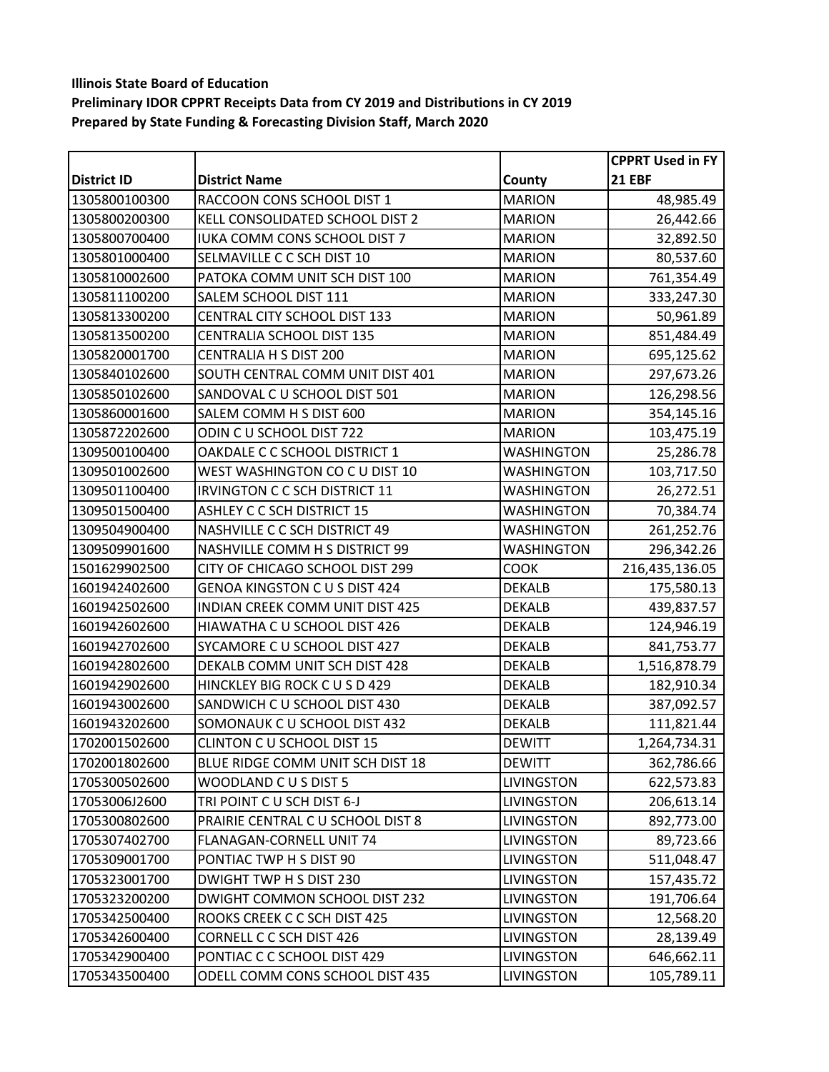|                    |                                      |                   | CPPRT Used in FY |
|--------------------|--------------------------------------|-------------------|------------------|
| <b>District ID</b> | <b>District Name</b>                 | County            | <b>21 EBF</b>    |
| 1305800100300      | RACCOON CONS SCHOOL DIST 1           | <b>MARION</b>     | 48,985.49        |
| 1305800200300      | KELL CONSOLIDATED SCHOOL DIST 2      | <b>MARION</b>     | 26,442.66        |
| 1305800700400      | <b>IUKA COMM CONS SCHOOL DIST 7</b>  | <b>MARION</b>     | 32,892.50        |
| 1305801000400      | SELMAVILLE C C SCH DIST 10           | <b>MARION</b>     | 80,537.60        |
| 1305810002600      | PATOKA COMM UNIT SCH DIST 100        | <b>MARION</b>     | 761,354.49       |
| 1305811100200      | SALEM SCHOOL DIST 111                | <b>MARION</b>     | 333,247.30       |
| 1305813300200      | CENTRAL CITY SCHOOL DIST 133         | <b>MARION</b>     | 50,961.89        |
| 1305813500200      | CENTRALIA SCHOOL DIST 135            | <b>MARION</b>     | 851,484.49       |
| 1305820001700      | CENTRALIA H S DIST 200               | <b>MARION</b>     | 695,125.62       |
| 1305840102600      | SOUTH CENTRAL COMM UNIT DIST 401     | <b>MARION</b>     | 297,673.26       |
| 1305850102600      | SANDOVAL C U SCHOOL DIST 501         | <b>MARION</b>     | 126,298.56       |
| 1305860001600      | SALEM COMM H S DIST 600              | <b>MARION</b>     | 354,145.16       |
| 1305872202600      | ODIN C U SCHOOL DIST 722             | <b>MARION</b>     | 103,475.19       |
| 1309500100400      | OAKDALE C C SCHOOL DISTRICT 1        | <b>WASHINGTON</b> | 25,286.78        |
| 1309501002600      | WEST WASHINGTON CO C U DIST 10       | WASHINGTON        | 103,717.50       |
| 1309501100400      | <b>IRVINGTON C C SCH DISTRICT 11</b> | <b>WASHINGTON</b> | 26,272.51        |
| 1309501500400      | <b>ASHLEY C C SCH DISTRICT 15</b>    | <b>WASHINGTON</b> | 70,384.74        |
| 1309504900400      | NASHVILLE C C SCH DISTRICT 49        | WASHINGTON        | 261,252.76       |
| 1309509901600      | NASHVILLE COMM H S DISTRICT 99       | <b>WASHINGTON</b> | 296,342.26       |
| 1501629902500      | CITY OF CHICAGO SCHOOL DIST 299      | соок              | 216,435,136.05   |
| 1601942402600      | <b>GENOA KINGSTON C U S DIST 424</b> | <b>DEKALB</b>     | 175,580.13       |
| 1601942502600      | INDIAN CREEK COMM UNIT DIST 425      | <b>DEKALB</b>     | 439,837.57       |
| 1601942602600      | HIAWATHA C U SCHOOL DIST 426         | <b>DEKALB</b>     | 124,946.19       |
| 1601942702600      | SYCAMORE C U SCHOOL DIST 427         | <b>DEKALB</b>     | 841,753.77       |
| 1601942802600      | DEKALB COMM UNIT SCH DIST 428        | <b>DEKALB</b>     | 1,516,878.79     |
| 1601942902600      | HINCKLEY BIG ROCK C U S D 429        | <b>DEKALB</b>     | 182,910.34       |
| 1601943002600      | SANDWICH C U SCHOOL DIST 430         | <b>DEKALB</b>     | 387,092.57       |
| 1601943202600      | SOMONAUK C U SCHOOL DIST 432         | <b>DEKALB</b>     | 111,821.44       |
| 1702001502600      | CLINTON C U SCHOOL DIST 15           | <b>DEWITT</b>     | 1,264,734.31     |
| 1702001802600      | BLUE RIDGE COMM UNIT SCH DIST 18     | <b>DEWITT</b>     | 362,786.66       |
| 1705300502600      | WOODLAND CUS DIST 5                  | <b>LIVINGSTON</b> | 622,573.83       |
| 17053006J2600      | TRI POINT CU SCH DIST 6-J            | <b>LIVINGSTON</b> | 206,613.14       |
| 1705300802600      | PRAIRIE CENTRAL C U SCHOOL DIST 8    | LIVINGSTON        | 892,773.00       |
| 1705307402700      | FLANAGAN-CORNELL UNIT 74             | LIVINGSTON        | 89,723.66        |
| 1705309001700      | PONTIAC TWP H S DIST 90              | <b>LIVINGSTON</b> | 511,048.47       |
| 1705323001700      | DWIGHT TWP H S DIST 230              | <b>LIVINGSTON</b> | 157,435.72       |
| 1705323200200      | DWIGHT COMMON SCHOOL DIST 232        | LIVINGSTON        | 191,706.64       |
| 1705342500400      | ROOKS CREEK C C SCH DIST 425         | LIVINGSTON        | 12,568.20        |
| 1705342600400      | CORNELL C C SCH DIST 426             | <b>LIVINGSTON</b> | 28,139.49        |
| 1705342900400      | PONTIAC C C SCHOOL DIST 429          | LIVINGSTON        | 646,662.11       |
| 1705343500400      | ODELL COMM CONS SCHOOL DIST 435      | LIVINGSTON        | 105,789.11       |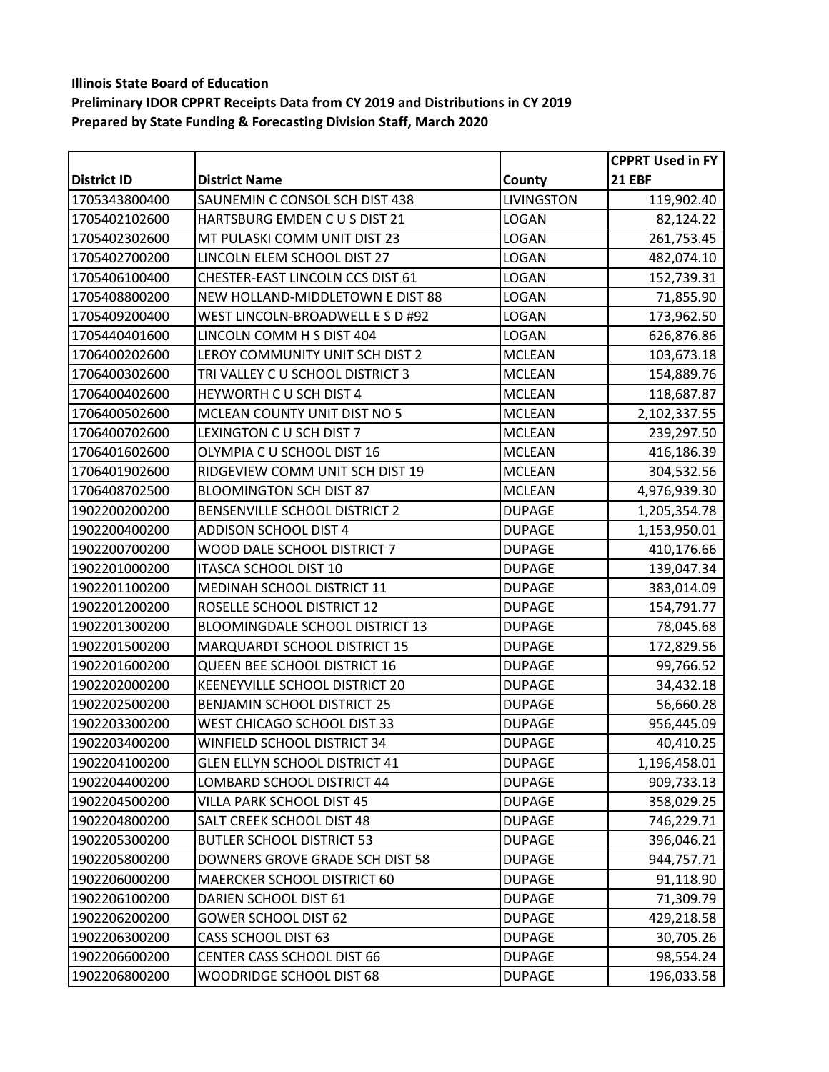|                    |                                      |                   | <b>CPPRT Used in FY</b> |
|--------------------|--------------------------------------|-------------------|-------------------------|
| <b>District ID</b> | <b>District Name</b>                 | County            | <b>21 EBF</b>           |
| 1705343800400      | SAUNEMIN C CONSOL SCH DIST 438       | <b>LIVINGSTON</b> | 119,902.40              |
| 1705402102600      | HARTSBURG EMDEN C U S DIST 21        | <b>LOGAN</b>      | 82,124.22               |
| 1705402302600      | MT PULASKI COMM UNIT DIST 23         | <b>LOGAN</b>      | 261,753.45              |
| 1705402700200      | LINCOLN ELEM SCHOOL DIST 27          | <b>LOGAN</b>      | 482,074.10              |
| 1705406100400      | CHESTER-EAST LINCOLN CCS DIST 61     | LOGAN             | 152,739.31              |
| 1705408800200      | NEW HOLLAND-MIDDLETOWN E DIST 88     | <b>LOGAN</b>      | 71,855.90               |
| 1705409200400      | WEST LINCOLN-BROADWELL E S D #92     | LOGAN             | 173,962.50              |
| 1705440401600      | LINCOLN COMM H S DIST 404            | <b>LOGAN</b>      | 626,876.86              |
| 1706400202600      | LEROY COMMUNITY UNIT SCH DIST 2      | <b>MCLEAN</b>     | 103,673.18              |
| 1706400302600      | TRI VALLEY C U SCHOOL DISTRICT 3     | <b>MCLEAN</b>     | 154,889.76              |
| 1706400402600      | HEYWORTH CU SCH DIST 4               | <b>MCLEAN</b>     | 118,687.87              |
| 1706400502600      | MCLEAN COUNTY UNIT DIST NO 5         | <b>MCLEAN</b>     | 2,102,337.55            |
| 1706400702600      | LEXINGTON C U SCH DIST 7             | <b>MCLEAN</b>     | 239,297.50              |
| 1706401602600      | OLYMPIA C U SCHOOL DIST 16           | <b>MCLEAN</b>     | 416,186.39              |
| 1706401902600      | RIDGEVIEW COMM UNIT SCH DIST 19      | <b>MCLEAN</b>     | 304,532.56              |
| 1706408702500      | <b>BLOOMINGTON SCH DIST 87</b>       | <b>MCLEAN</b>     | 4,976,939.30            |
| 1902200200200      | BENSENVILLE SCHOOL DISTRICT 2        | <b>DUPAGE</b>     | 1,205,354.78            |
| 1902200400200      | <b>ADDISON SCHOOL DIST 4</b>         | <b>DUPAGE</b>     | 1,153,950.01            |
| 1902200700200      | WOOD DALE SCHOOL DISTRICT 7          | <b>DUPAGE</b>     | 410,176.66              |
| 1902201000200      | ITASCA SCHOOL DIST 10                | <b>DUPAGE</b>     | 139,047.34              |
| 1902201100200      | MEDINAH SCHOOL DISTRICT 11           | <b>DUPAGE</b>     | 383,014.09              |
| 1902201200200      | ROSELLE SCHOOL DISTRICT 12           | <b>DUPAGE</b>     | 154,791.77              |
| 1902201300200      | BLOOMINGDALE SCHOOL DISTRICT 13      | <b>DUPAGE</b>     | 78,045.68               |
| 1902201500200      | MARQUARDT SCHOOL DISTRICT 15         | <b>DUPAGE</b>     | 172,829.56              |
| 1902201600200      | QUEEN BEE SCHOOL DISTRICT 16         | <b>DUPAGE</b>     | 99,766.52               |
| 1902202000200      | KEENEYVILLE SCHOOL DISTRICT 20       | <b>DUPAGE</b>     | 34,432.18               |
| 1902202500200      | BENJAMIN SCHOOL DISTRICT 25          | <b>DUPAGE</b>     | 56,660.28               |
| 1902203300200      | WEST CHICAGO SCHOOL DIST 33          | <b>DUPAGE</b>     | 956,445.09              |
| 1902203400200      | WINFIELD SCHOOL DISTRICT 34          | <b>DUPAGE</b>     | 40,410.25               |
| 1902204100200      | <b>GLEN ELLYN SCHOOL DISTRICT 41</b> | <b>DUPAGE</b>     | 1,196,458.01            |
| 1902204400200      | LOMBARD SCHOOL DISTRICT 44           | <b>DUPAGE</b>     | 909,733.13              |
| 1902204500200      | VILLA PARK SCHOOL DIST 45            | <b>DUPAGE</b>     | 358,029.25              |
| 1902204800200      | SALT CREEK SCHOOL DIST 48            | <b>DUPAGE</b>     | 746,229.71              |
| 1902205300200      | <b>BUTLER SCHOOL DISTRICT 53</b>     | <b>DUPAGE</b>     | 396,046.21              |
| 1902205800200      | DOWNERS GROVE GRADE SCH DIST 58      | <b>DUPAGE</b>     | 944,757.71              |
| 1902206000200      | MAERCKER SCHOOL DISTRICT 60          | <b>DUPAGE</b>     | 91,118.90               |
| 1902206100200      | DARIEN SCHOOL DIST 61                | <b>DUPAGE</b>     | 71,309.79               |
| 1902206200200      | <b>GOWER SCHOOL DIST 62</b>          | <b>DUPAGE</b>     | 429,218.58              |
| 1902206300200      | <b>CASS SCHOOL DIST 63</b>           | <b>DUPAGE</b>     | 30,705.26               |
| 1902206600200      | <b>CENTER CASS SCHOOL DIST 66</b>    | <b>DUPAGE</b>     | 98,554.24               |
| 1902206800200      | WOODRIDGE SCHOOL DIST 68             | <b>DUPAGE</b>     | 196,033.58              |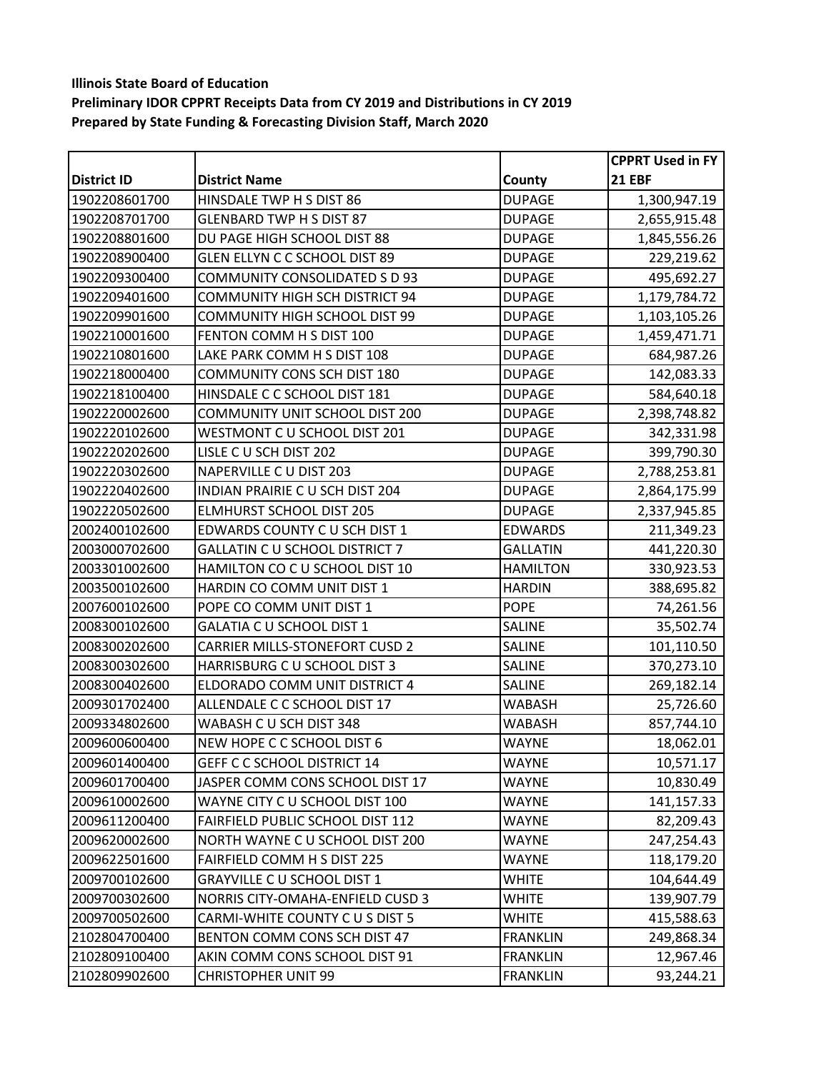|                    |                                       |                 | <b>CPPRT Used in FY</b> |
|--------------------|---------------------------------------|-----------------|-------------------------|
| <b>District ID</b> | <b>District Name</b>                  | County          | <b>21 EBF</b>           |
| 1902208601700      | HINSDALE TWP H S DIST 86              | <b>DUPAGE</b>   | 1,300,947.19            |
| 1902208701700      | <b>GLENBARD TWP H S DIST 87</b>       | <b>DUPAGE</b>   | 2,655,915.48            |
| 1902208801600      | DU PAGE HIGH SCHOOL DIST 88           | <b>DUPAGE</b>   | 1,845,556.26            |
| 1902208900400      | GLEN ELLYN C C SCHOOL DIST 89         | <b>DUPAGE</b>   | 229,219.62              |
| 1902209300400      | COMMUNITY CONSOLIDATED S D 93         | <b>DUPAGE</b>   | 495,692.27              |
| 1902209401600      | <b>COMMUNITY HIGH SCH DISTRICT 94</b> | <b>DUPAGE</b>   | 1,179,784.72            |
| 1902209901600      | COMMUNITY HIGH SCHOOL DIST 99         | <b>DUPAGE</b>   | 1,103,105.26            |
| 1902210001600      | FENTON COMM H S DIST 100              | <b>DUPAGE</b>   | 1,459,471.71            |
| 1902210801600      | LAKE PARK COMM H S DIST 108           | <b>DUPAGE</b>   | 684,987.26              |
| 1902218000400      | COMMUNITY CONS SCH DIST 180           | <b>DUPAGE</b>   | 142,083.33              |
| 1902218100400      | HINSDALE C C SCHOOL DIST 181          | <b>DUPAGE</b>   | 584,640.18              |
| 1902220002600      | COMMUNITY UNIT SCHOOL DIST 200        | <b>DUPAGE</b>   | 2,398,748.82            |
| 1902220102600      | WESTMONT CU SCHOOL DIST 201           | <b>DUPAGE</b>   | 342,331.98              |
| 1902220202600      | LISLE C U SCH DIST 202                | <b>DUPAGE</b>   | 399,790.30              |
| 1902220302600      | NAPERVILLE C U DIST 203               | <b>DUPAGE</b>   | 2,788,253.81            |
| 1902220402600      | INDIAN PRAIRIE C U SCH DIST 204       | <b>DUPAGE</b>   | 2,864,175.99            |
| 1902220502600      | <b>ELMHURST SCHOOL DIST 205</b>       | <b>DUPAGE</b>   | 2,337,945.85            |
| 2002400102600      | EDWARDS COUNTY C U SCH DIST 1         | <b>EDWARDS</b>  | 211,349.23              |
| 2003000702600      | <b>GALLATIN C U SCHOOL DISTRICT 7</b> | <b>GALLATIN</b> | 441,220.30              |
| 2003301002600      | HAMILTON CO C U SCHOOL DIST 10        | <b>HAMILTON</b> | 330,923.53              |
| 2003500102600      | HARDIN CO COMM UNIT DIST 1            | <b>HARDIN</b>   | 388,695.82              |
| 2007600102600      | POPE CO COMM UNIT DIST 1              | <b>POPE</b>     | 74,261.56               |
| 2008300102600      | GALATIA C U SCHOOL DIST 1             | <b>SALINE</b>   | 35,502.74               |
| 2008300202600      | CARRIER MILLS-STONEFORT CUSD 2        | <b>SALINE</b>   | 101,110.50              |
| 2008300302600      | HARRISBURG C U SCHOOL DIST 3          | <b>SALINE</b>   | 370,273.10              |
| 2008300402600      | ELDORADO COMM UNIT DISTRICT 4         | <b>SALINE</b>   | 269,182.14              |
| 2009301702400      | ALLENDALE C C SCHOOL DIST 17          | <b>WABASH</b>   | 25,726.60               |
| 2009334802600      | WABASH C U SCH DIST 348               | <b>WABASH</b>   | 857,744.10              |
| 2009600600400      | NEW HOPE C C SCHOOL DIST 6            | <b>WAYNE</b>    | 18,062.01               |
| 2009601400400      | GEFF C C SCHOOL DISTRICT 14           | <b>WAYNE</b>    | 10,571.17               |
| 2009601700400      | JASPER COMM CONS SCHOOL DIST 17       | <b>WAYNE</b>    | 10,830.49               |
| 2009610002600      | WAYNE CITY C U SCHOOL DIST 100        | <b>WAYNE</b>    | 141,157.33              |
| 2009611200400      | FAIRFIELD PUBLIC SCHOOL DIST 112      | <b>WAYNE</b>    | 82,209.43               |
| 2009620002600      | NORTH WAYNE C U SCHOOL DIST 200       | <b>WAYNE</b>    | 247,254.43              |
| 2009622501600      | FAIRFIELD COMM H S DIST 225           | WAYNE           | 118,179.20              |
| 2009700102600      | <b>GRAYVILLE C U SCHOOL DIST 1</b>    | <b>WHITE</b>    | 104,644.49              |
| 2009700302600      | NORRIS CITY-OMAHA-ENFIELD CUSD 3      | <b>WHITE</b>    | 139,907.79              |
| 2009700502600      | CARMI-WHITE COUNTY CUS DIST 5         | <b>WHITE</b>    | 415,588.63              |
| 2102804700400      | BENTON COMM CONS SCH DIST 47          | <b>FRANKLIN</b> | 249,868.34              |
| 2102809100400      | AKIN COMM CONS SCHOOL DIST 91         | <b>FRANKLIN</b> | 12,967.46               |
| 2102809902600      | <b>CHRISTOPHER UNIT 99</b>            | <b>FRANKLIN</b> | 93,244.21               |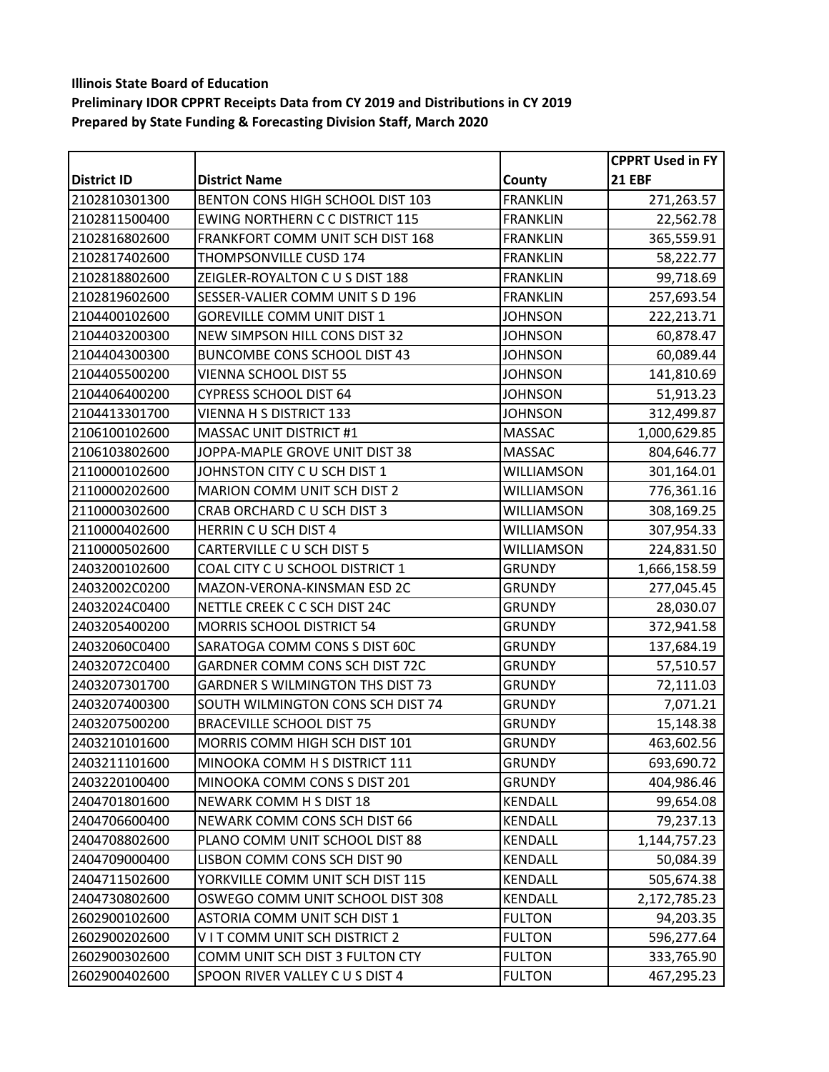|                    |                                        |                 | <b>CPPRT Used in FY</b> |
|--------------------|----------------------------------------|-----------------|-------------------------|
| <b>District ID</b> | <b>District Name</b>                   | County          | <b>21 EBF</b>           |
| 2102810301300      | BENTON CONS HIGH SCHOOL DIST 103       | <b>FRANKLIN</b> | 271,263.57              |
| 2102811500400      | <b>EWING NORTHERN C C DISTRICT 115</b> | <b>FRANKLIN</b> | 22,562.78               |
| 2102816802600      | FRANKFORT COMM UNIT SCH DIST 168       | <b>FRANKLIN</b> | 365,559.91              |
| 2102817402600      | THOMPSONVILLE CUSD 174                 | <b>FRANKLIN</b> | 58,222.77               |
| 2102818802600      | ZEIGLER-ROYALTON CUS DIST 188          | <b>FRANKLIN</b> | 99,718.69               |
| 2102819602600      | SESSER-VALIER COMM UNIT S D 196        | <b>FRANKLIN</b> | 257,693.54              |
| 2104400102600      | <b>GOREVILLE COMM UNIT DIST 1</b>      | <b>JOHNSON</b>  | 222,213.71              |
| 2104403200300      | NEW SIMPSON HILL CONS DIST 32          | <b>JOHNSON</b>  | 60,878.47               |
| 2104404300300      | <b>BUNCOMBE CONS SCHOOL DIST 43</b>    | <b>JOHNSON</b>  | 60,089.44               |
| 2104405500200      | VIENNA SCHOOL DIST 55                  | <b>JOHNSON</b>  | 141,810.69              |
| 2104406400200      | <b>CYPRESS SCHOOL DIST 64</b>          | <b>JOHNSON</b>  | 51,913.23               |
| 2104413301700      | VIENNA H S DISTRICT 133                | <b>JOHNSON</b>  | 312,499.87              |
| 2106100102600      | MASSAC UNIT DISTRICT #1                | <b>MASSAC</b>   | 1,000,629.85            |
| 2106103802600      | JOPPA-MAPLE GROVE UNIT DIST 38         | <b>MASSAC</b>   | 804,646.77              |
| 2110000102600      | JOHNSTON CITY C U SCH DIST 1           | WILLIAMSON      | 301,164.01              |
| 2110000202600      | MARION COMM UNIT SCH DIST 2            | WILLIAMSON      | 776,361.16              |
| 2110000302600      | CRAB ORCHARD C U SCH DIST 3            | WILLIAMSON      | 308,169.25              |
| 2110000402600      | HERRIN CU SCH DIST 4                   | WILLIAMSON      | 307,954.33              |
| 2110000502600      | CARTERVILLE C U SCH DIST 5             | WILLIAMSON      | 224,831.50              |
| 2403200102600      | COAL CITY C U SCHOOL DISTRICT 1        | <b>GRUNDY</b>   | 1,666,158.59            |
| 24032002C0200      | MAZON-VERONA-KINSMAN ESD 2C            | <b>GRUNDY</b>   | 277,045.45              |
| 24032024C0400      | NETTLE CREEK C C SCH DIST 24C          | <b>GRUNDY</b>   | 28,030.07               |
| 2403205400200      | MORRIS SCHOOL DISTRICT 54              | <b>GRUNDY</b>   | 372,941.58              |
| 24032060C0400      | SARATOGA COMM CONS S DIST 60C          | <b>GRUNDY</b>   | 137,684.19              |
| 24032072C0400      | GARDNER COMM CONS SCH DIST 72C         | <b>GRUNDY</b>   | 57,510.57               |
| 2403207301700      | GARDNER S WILMINGTON THS DIST 73       | <b>GRUNDY</b>   | 72,111.03               |
| 2403207400300      | SOUTH WILMINGTON CONS SCH DIST 74      | <b>GRUNDY</b>   | 7,071.21                |
| 2403207500200      | <b>BRACEVILLE SCHOOL DIST 75</b>       | <b>GRUNDY</b>   | 15,148.38               |
| 2403210101600      | MORRIS COMM HIGH SCH DIST 101          | <b>GRUNDY</b>   | 463,602.56              |
| 2403211101600      | MINOOKA COMM H S DISTRICT 111          | <b>GRUNDY</b>   | 693,690.72              |
| 2403220100400      | MINOOKA COMM CONS S DIST 201           | <b>GRUNDY</b>   | 404,986.46              |
| 2404701801600      | NEWARK COMM H S DIST 18                | <b>KENDALL</b>  | 99,654.08               |
| 2404706600400      | NEWARK COMM CONS SCH DIST 66           | <b>KENDALL</b>  | 79,237.13               |
| 2404708802600      | PLANO COMM UNIT SCHOOL DIST 88         | KENDALL         | 1,144,757.23            |
| 2404709000400      | LISBON COMM CONS SCH DIST 90           | <b>KENDALL</b>  | 50,084.39               |
| 2404711502600      | YORKVILLE COMM UNIT SCH DIST 115       | KENDALL         | 505,674.38              |
| 2404730802600      | OSWEGO COMM UNIT SCHOOL DIST 308       | KENDALL         | 2,172,785.23            |
| 2602900102600      | ASTORIA COMM UNIT SCH DIST 1           | <b>FULTON</b>   | 94,203.35               |
| 2602900202600      | VIT COMM UNIT SCH DISTRICT 2           | <b>FULTON</b>   | 596,277.64              |
| 2602900302600      | COMM UNIT SCH DIST 3 FULTON CTY        | <b>FULTON</b>   | 333,765.90              |
| 2602900402600      | SPOON RIVER VALLEY C U S DIST 4        | <b>FULTON</b>   | 467,295.23              |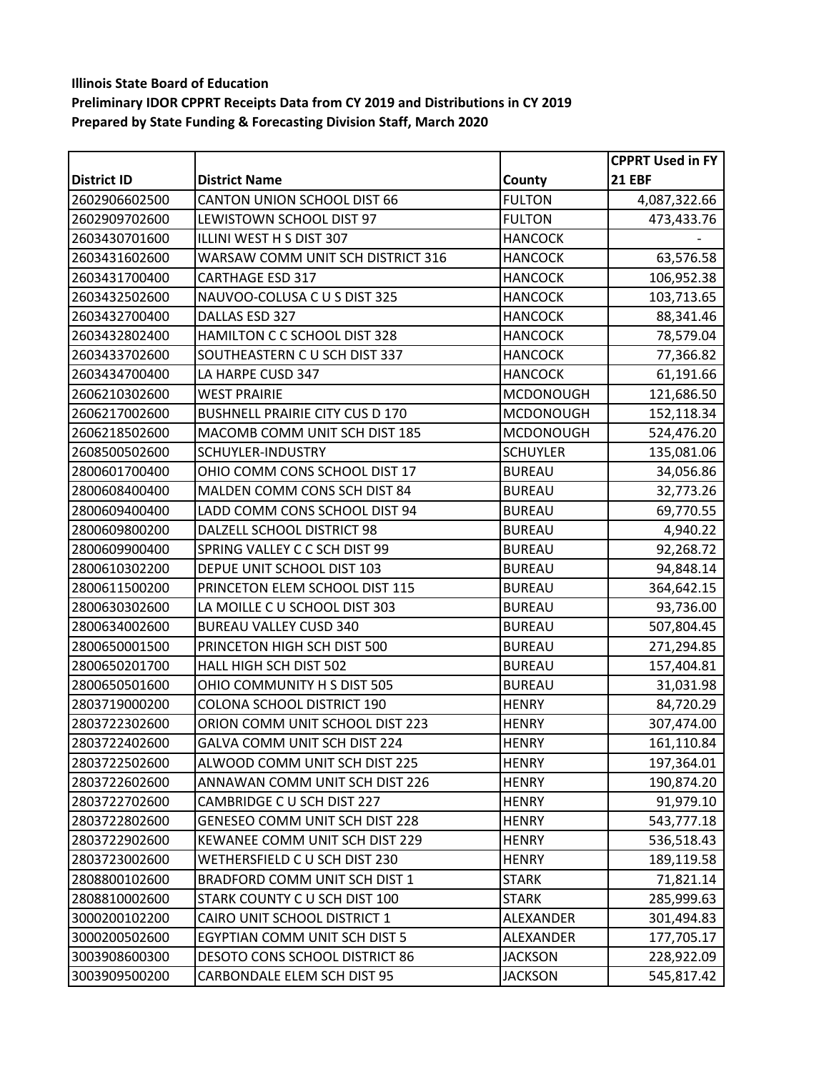|               |                                        |                  | <b>CPPRT Used in FY</b> |
|---------------|----------------------------------------|------------------|-------------------------|
| District ID   | <b>District Name</b>                   | County           | <b>21 EBF</b>           |
| 2602906602500 | CANTON UNION SCHOOL DIST 66            | <b>FULTON</b>    | 4,087,322.66            |
| 2602909702600 | LEWISTOWN SCHOOL DIST 97               | <b>FULTON</b>    | 473,433.76              |
| 2603430701600 | ILLINI WEST H S DIST 307               | <b>HANCOCK</b>   |                         |
| 2603431602600 | WARSAW COMM UNIT SCH DISTRICT 316      | <b>HANCOCK</b>   | 63,576.58               |
| 2603431700400 | <b>CARTHAGE ESD 317</b>                | <b>HANCOCK</b>   | 106,952.38              |
| 2603432502600 | NAUVOO-COLUSA C U S DIST 325           | <b>HANCOCK</b>   | 103,713.65              |
| 2603432700400 | DALLAS ESD 327                         | <b>HANCOCK</b>   | 88,341.46               |
| 2603432802400 | HAMILTON C C SCHOOL DIST 328           | <b>HANCOCK</b>   | 78,579.04               |
| 2603433702600 | SOUTHEASTERN C U SCH DIST 337          | <b>HANCOCK</b>   | 77,366.82               |
| 2603434700400 | LA HARPE CUSD 347                      | <b>HANCOCK</b>   | 61,191.66               |
| 2606210302600 | <b>WEST PRAIRIE</b>                    | <b>MCDONOUGH</b> | 121,686.50              |
| 2606217002600 | <b>BUSHNELL PRAIRIE CITY CUS D 170</b> | <b>MCDONOUGH</b> | 152,118.34              |
| 2606218502600 | MACOMB COMM UNIT SCH DIST 185          | <b>MCDONOUGH</b> | 524,476.20              |
| 2608500502600 | SCHUYLER-INDUSTRY                      | <b>SCHUYLER</b>  | 135,081.06              |
| 2800601700400 | OHIO COMM CONS SCHOOL DIST 17          | <b>BUREAU</b>    | 34,056.86               |
| 2800608400400 | MALDEN COMM CONS SCH DIST 84           | <b>BUREAU</b>    | 32,773.26               |
| 2800609400400 | LADD COMM CONS SCHOOL DIST 94          | <b>BUREAU</b>    | 69,770.55               |
| 2800609800200 | DALZELL SCHOOL DISTRICT 98             | <b>BUREAU</b>    | 4,940.22                |
| 2800609900400 | SPRING VALLEY C C SCH DIST 99          | <b>BUREAU</b>    | 92,268.72               |
| 2800610302200 | DEPUE UNIT SCHOOL DIST 103             | <b>BUREAU</b>    | 94,848.14               |
| 2800611500200 | PRINCETON ELEM SCHOOL DIST 115         | <b>BUREAU</b>    | 364,642.15              |
| 2800630302600 | LA MOILLE C U SCHOOL DIST 303          | <b>BUREAU</b>    | 93,736.00               |
| 2800634002600 | <b>BUREAU VALLEY CUSD 340</b>          | <b>BUREAU</b>    | 507,804.45              |
| 2800650001500 | PRINCETON HIGH SCH DIST 500            | <b>BUREAU</b>    | 271,294.85              |
| 2800650201700 | HALL HIGH SCH DIST 502                 | <b>BUREAU</b>    | 157,404.81              |
| 2800650501600 | OHIO COMMUNITY H S DIST 505            | <b>BUREAU</b>    | 31,031.98               |
| 2803719000200 | COLONA SCHOOL DISTRICT 190             | <b>HENRY</b>     | 84,720.29               |
| 2803722302600 | ORION COMM UNIT SCHOOL DIST 223        | <b>HENRY</b>     | 307,474.00              |
| 2803722402600 | GALVA COMM UNIT SCH DIST 224           | <b>HENRY</b>     | 161,110.84              |
| 2803722502600 | ALWOOD COMM UNIT SCH DIST 225          | <b>HENRY</b>     | 197,364.01              |
| 2803722602600 | ANNAWAN COMM UNIT SCH DIST 226         | <b>HENRY</b>     | 190,874.20              |
| 2803722702600 | CAMBRIDGE C U SCH DIST 227             | <b>HENRY</b>     | 91,979.10               |
| 2803722802600 | <b>GENESEO COMM UNIT SCH DIST 228</b>  | <b>HENRY</b>     | 543,777.18              |
| 2803722902600 | KEWANEE COMM UNIT SCH DIST 229         | <b>HENRY</b>     | 536,518.43              |
| 2803723002600 | WETHERSFIELD C U SCH DIST 230          | <b>HENRY</b>     | 189,119.58              |
| 2808800102600 | BRADFORD COMM UNIT SCH DIST 1          | <b>STARK</b>     | 71,821.14               |
| 2808810002600 | STARK COUNTY C U SCH DIST 100          | <b>STARK</b>     | 285,999.63              |
| 3000200102200 | CAIRO UNIT SCHOOL DISTRICT 1           | ALEXANDER        | 301,494.83              |
| 3000200502600 | EGYPTIAN COMM UNIT SCH DIST 5          | <b>ALEXANDER</b> | 177,705.17              |
| 3003908600300 | <b>DESOTO CONS SCHOOL DISTRICT 86</b>  | <b>JACKSON</b>   | 228,922.09              |
| 3003909500200 | CARBONDALE ELEM SCH DIST 95            | <b>JACKSON</b>   | 545,817.42              |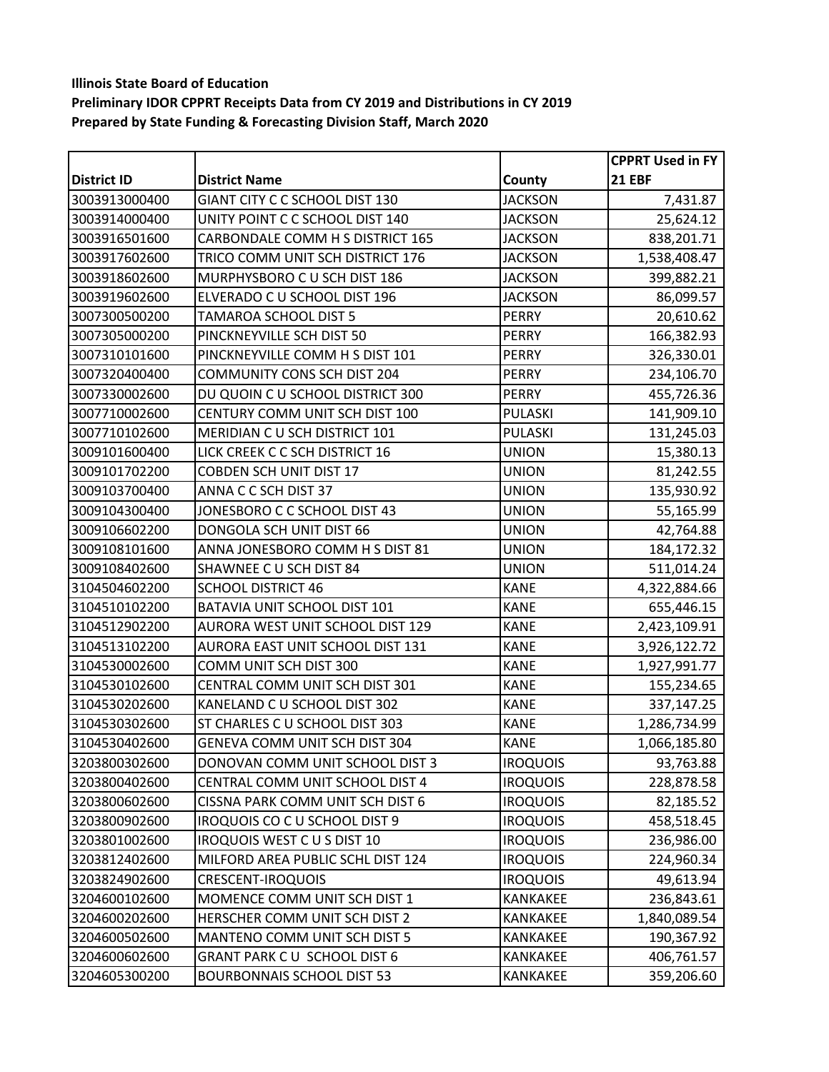|                    |                                    |                 | <b>CPPRT Used in FY</b> |
|--------------------|------------------------------------|-----------------|-------------------------|
| <b>District ID</b> | <b>District Name</b>               | County          | <b>21 EBF</b>           |
| 3003913000400      | GIANT CITY C C SCHOOL DIST 130     | <b>JACKSON</b>  | 7,431.87                |
| 3003914000400      | UNITY POINT C C SCHOOL DIST 140    | <b>JACKSON</b>  | 25,624.12               |
| 3003916501600      | CARBONDALE COMM H S DISTRICT 165   | <b>JACKSON</b>  | 838,201.71              |
| 3003917602600      | TRICO COMM UNIT SCH DISTRICT 176   | <b>JACKSON</b>  | 1,538,408.47            |
| 3003918602600      | MURPHYSBORO C U SCH DIST 186       | <b>JACKSON</b>  | 399,882.21              |
| 3003919602600      | ELVERADO C U SCHOOL DIST 196       | <b>JACKSON</b>  | 86,099.57               |
| 3007300500200      | TAMAROA SCHOOL DIST 5              | PERRY           | 20,610.62               |
| 3007305000200      | PINCKNEYVILLE SCH DIST 50          | <b>PERRY</b>    | 166,382.93              |
| 3007310101600      | PINCKNEYVILLE COMM H S DIST 101    | <b>PERRY</b>    | 326,330.01              |
| 3007320400400      | <b>COMMUNITY CONS SCH DIST 204</b> | <b>PERRY</b>    | 234,106.70              |
| 3007330002600      | DU QUOIN C U SCHOOL DISTRICT 300   | <b>PERRY</b>    | 455,726.36              |
| 3007710002600      | CENTURY COMM UNIT SCH DIST 100     | PULASKI         | 141,909.10              |
| 3007710102600      | MERIDIAN C U SCH DISTRICT 101      | PULASKI         | 131,245.03              |
| 3009101600400      | LICK CREEK C C SCH DISTRICT 16     | <b>UNION</b>    | 15,380.13               |
| 3009101702200      | <b>COBDEN SCH UNIT DIST 17</b>     | <b>UNION</b>    | 81,242.55               |
| 3009103700400      | ANNA C C SCH DIST 37               | <b>UNION</b>    | 135,930.92              |
| 3009104300400      | JONESBORO C C SCHOOL DIST 43       | <b>UNION</b>    | 55,165.99               |
| 3009106602200      | DONGOLA SCH UNIT DIST 66           | <b>UNION</b>    | 42,764.88               |
| 3009108101600      | ANNA JONESBORO COMM H S DIST 81    | <b>UNION</b>    | 184,172.32              |
| 3009108402600      | SHAWNEE C U SCH DIST 84            | <b>UNION</b>    | 511,014.24              |
| 3104504602200      | <b>SCHOOL DISTRICT 46</b>          | <b>KANE</b>     | 4,322,884.66            |
| 3104510102200      | BATAVIA UNIT SCHOOL DIST 101       | <b>KANE</b>     | 655,446.15              |
| 3104512902200      | AURORA WEST UNIT SCHOOL DIST 129   | <b>KANE</b>     | 2,423,109.91            |
| 3104513102200      | AURORA EAST UNIT SCHOOL DIST 131   | <b>KANE</b>     | 3,926,122.72            |
| 3104530002600      | COMM UNIT SCH DIST 300             | <b>KANE</b>     | 1,927,991.77            |
| 3104530102600      | CENTRAL COMM UNIT SCH DIST 301     | <b>KANE</b>     | 155,234.65              |
| 3104530202600      | KANELAND C U SCHOOL DIST 302       | <b>KANE</b>     | 337,147.25              |
| 3104530302600      | ST CHARLES C U SCHOOL DIST 303     | <b>KANE</b>     | 1,286,734.99            |
| 3104530402600      | GENEVA COMM UNIT SCH DIST 304      | <b>KANE</b>     | 1,066,185.80            |
| 3203800302600      | DONOVAN COMM UNIT SCHOOL DIST 3    | <b>IROQUOIS</b> | 93,763.88               |
| 3203800402600      | CENTRAL COMM UNIT SCHOOL DIST 4    | <b>IROQUOIS</b> | 228,878.58              |
| 3203800602600      | CISSNA PARK COMM UNIT SCH DIST 6   | <b>IROQUOIS</b> | 82,185.52               |
| 3203800902600      | IROQUOIS CO C U SCHOOL DIST 9      | <b>IROQUOIS</b> | 458,518.45              |
| 3203801002600      | <b>IROQUOIS WEST CUS DIST 10</b>   | <b>IROQUOIS</b> | 236,986.00              |
| 3203812402600      | MILFORD AREA PUBLIC SCHL DIST 124  | <b>IROQUOIS</b> | 224,960.34              |
| 3203824902600      | <b>CRESCENT-IROQUOIS</b>           | <b>IROQUOIS</b> | 49,613.94               |
| 3204600102600      | MOMENCE COMM UNIT SCH DIST 1       | KANKAKEE        | 236,843.61              |
| 3204600202600      | HERSCHER COMM UNIT SCH DIST 2      | <b>KANKAKEE</b> | 1,840,089.54            |
| 3204600502600      | MANTENO COMM UNIT SCH DIST 5       | KANKAKEE        | 190,367.92              |
| 3204600602600      | GRANT PARK CU SCHOOL DIST 6        | <b>KANKAKEE</b> | 406,761.57              |
| 3204605300200      | <b>BOURBONNAIS SCHOOL DIST 53</b>  | KANKAKEE        | 359,206.60              |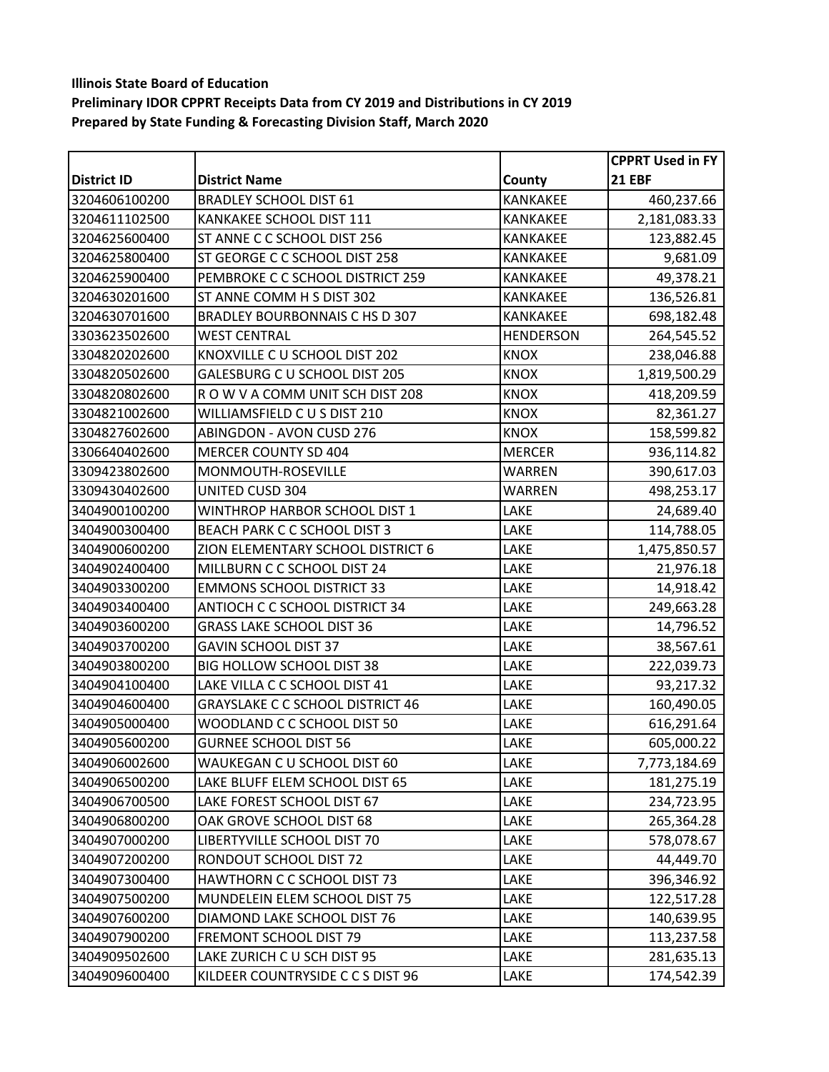|                    |                                         |                  | <b>CPPRT Used in FY</b> |
|--------------------|-----------------------------------------|------------------|-------------------------|
| <b>District ID</b> | <b>District Name</b>                    | County           | <b>21 EBF</b>           |
| 3204606100200      | <b>BRADLEY SCHOOL DIST 61</b>           | <b>KANKAKEE</b>  | 460,237.66              |
| 3204611102500      | KANKAKEE SCHOOL DIST 111                | <b>KANKAKEE</b>  | 2,181,083.33            |
| 3204625600400      | ST ANNE C C SCHOOL DIST 256             | KANKAKEE         | 123,882.45              |
| 3204625800400      | ST GEORGE C C SCHOOL DIST 258           | <b>KANKAKEE</b>  | 9,681.09                |
| 3204625900400      | PEMBROKE C C SCHOOL DISTRICT 259        | <b>KANKAKEE</b>  | 49,378.21               |
| 3204630201600      | ST ANNE COMM H S DIST 302               | <b>KANKAKEE</b>  | 136,526.81              |
| 3204630701600      | BRADLEY BOURBONNAIS C HS D 307          | <b>KANKAKEE</b>  | 698,182.48              |
| 3303623502600      | <b>WEST CENTRAL</b>                     | <b>HENDERSON</b> | 264,545.52              |
| 3304820202600      | KNOXVILLE C U SCHOOL DIST 202           | <b>KNOX</b>      | 238,046.88              |
| 3304820502600      | GALESBURG C U SCHOOL DIST 205           | <b>KNOX</b>      | 1,819,500.29            |
| 3304820802600      | ROW V A COMM UNIT SCH DIST 208          | <b>KNOX</b>      | 418,209.59              |
| 3304821002600      | WILLIAMSFIELD CUS DIST 210              | <b>KNOX</b>      | 82,361.27               |
| 3304827602600      | <b>ABINGDON - AVON CUSD 276</b>         | <b>KNOX</b>      | 158,599.82              |
| 3306640402600      | MERCER COUNTY SD 404                    | <b>MERCER</b>    | 936,114.82              |
| 3309423802600      | MONMOUTH-ROSEVILLE                      | WARREN           | 390,617.03              |
| 3309430402600      | <b>UNITED CUSD 304</b>                  | <b>WARREN</b>    | 498,253.17              |
| 3404900100200      | WINTHROP HARBOR SCHOOL DIST 1           | LAKE             | 24,689.40               |
| 3404900300400      | <b>BEACH PARK C C SCHOOL DIST 3</b>     | LAKE             | 114,788.05              |
| 3404900600200      | ZION ELEMENTARY SCHOOL DISTRICT 6       | LAKE             | 1,475,850.57            |
| 3404902400400      | MILLBURN C C SCHOOL DIST 24             | LAKE             | 21,976.18               |
| 3404903300200      | <b>EMMONS SCHOOL DISTRICT 33</b>        | LAKE             | 14,918.42               |
| 3404903400400      | ANTIOCH C C SCHOOL DISTRICT 34          | LAKE             | 249,663.28              |
| 3404903600200      | <b>GRASS LAKE SCHOOL DIST 36</b>        | LAKE             | 14,796.52               |
| 3404903700200      | <b>GAVIN SCHOOL DIST 37</b>             | LAKE             | 38,567.61               |
| 3404903800200      | BIG HOLLOW SCHOOL DIST 38               | LAKE             | 222,039.73              |
| 3404904100400      | LAKE VILLA C C SCHOOL DIST 41           | LAKE             | 93,217.32               |
| 3404904600400      | <b>GRAYSLAKE C C SCHOOL DISTRICT 46</b> | LAKE             | 160,490.05              |
| 3404905000400      | WOODLAND C C SCHOOL DIST 50             | LAKE             | 616,291.64              |
| 3404905600200      | <b>GURNEE SCHOOL DIST 56</b>            | LAKE             | 605,000.22              |
| 3404906002600      | WAUKEGAN C U SCHOOL DIST 60             | LAKE             | 7,773,184.69            |
| 3404906500200      | LAKE BLUFF ELEM SCHOOL DIST 65          | LAKE             | 181,275.19              |
| 3404906700500      | LAKE FOREST SCHOOL DIST 67              | LAKE             | 234,723.95              |
| 3404906800200      | OAK GROVE SCHOOL DIST 68                | LAKE             | 265,364.28              |
| 3404907000200      | LIBERTYVILLE SCHOOL DIST 70             | LAKE             | 578,078.67              |
| 3404907200200      | RONDOUT SCHOOL DIST 72                  | LAKE             | 44,449.70               |
| 3404907300400      | HAWTHORN C C SCHOOL DIST 73             | LAKE             | 396,346.92              |
| 3404907500200      | MUNDELEIN ELEM SCHOOL DIST 75           | LAKE             | 122,517.28              |
| 3404907600200      | DIAMOND LAKE SCHOOL DIST 76             | LAKE             | 140,639.95              |
| 3404907900200      | FREMONT SCHOOL DIST 79                  | LAKE             | 113,237.58              |
| 3404909502600      | LAKE ZURICH C U SCH DIST 95             | LAKE             | 281,635.13              |
| 3404909600400      | KILDEER COUNTRYSIDE C C S DIST 96       | LAKE             | 174,542.39              |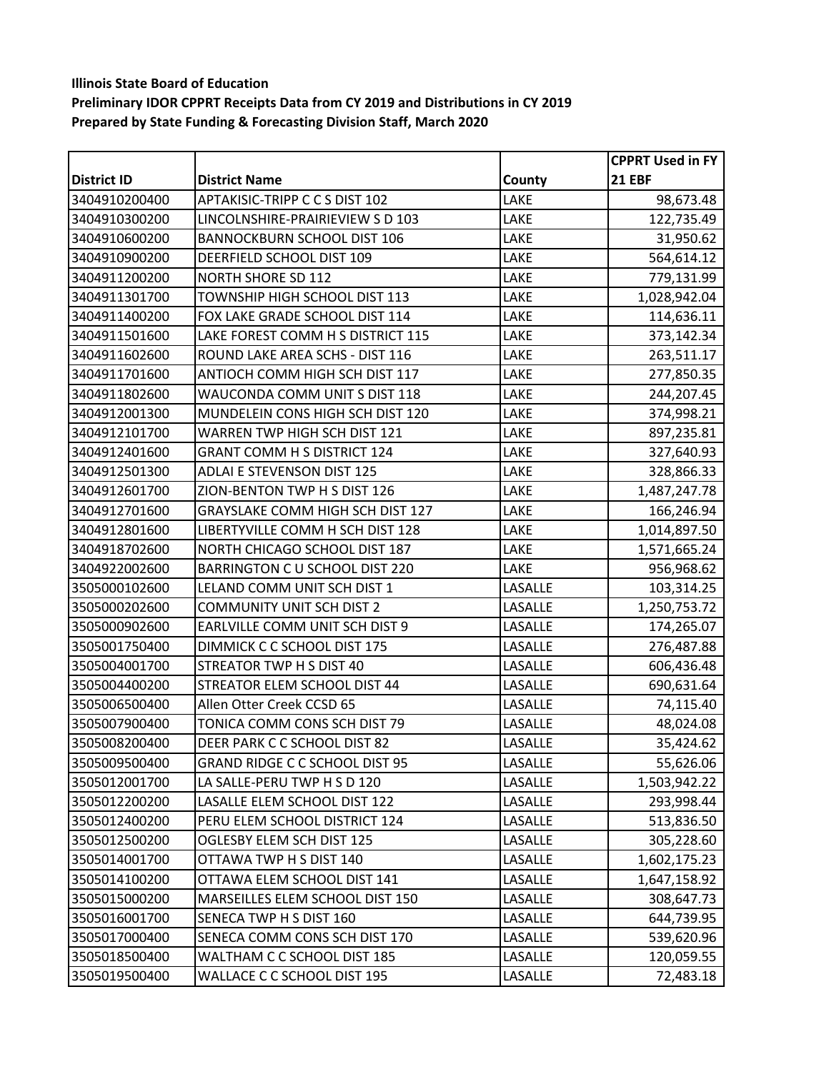|                    |                                         |         | <b>CPPRT Used in FY</b> |
|--------------------|-----------------------------------------|---------|-------------------------|
| <b>District ID</b> | <b>District Name</b>                    | County  | <b>21 EBF</b>           |
| 3404910200400      | APTAKISIC-TRIPP C C S DIST 102          | LAKE    | 98,673.48               |
| 3404910300200      | LINCOLNSHIRE-PRAIRIEVIEW S D 103        | LAKE    | 122,735.49              |
| 3404910600200      | <b>BANNOCKBURN SCHOOL DIST 106</b>      | LAKE    | 31,950.62               |
| 3404910900200      | DEERFIELD SCHOOL DIST 109               | LAKE    | 564,614.12              |
| 3404911200200      | <b>NORTH SHORE SD 112</b>               | LAKE    | 779,131.99              |
| 3404911301700      | TOWNSHIP HIGH SCHOOL DIST 113           | LAKE    | 1,028,942.04            |
| 3404911400200      | FOX LAKE GRADE SCHOOL DIST 114          | LAKE    | 114,636.11              |
| 3404911501600      | LAKE FOREST COMM H S DISTRICT 115       | LAKE    | 373,142.34              |
| 3404911602600      | ROUND LAKE AREA SCHS - DIST 116         | LAKE    | 263,511.17              |
| 3404911701600      | ANTIOCH COMM HIGH SCH DIST 117          | LAKE    | 277,850.35              |
| 3404911802600      | WAUCONDA COMM UNIT S DIST 118           | LAKE    | 244,207.45              |
| 3404912001300      | MUNDELEIN CONS HIGH SCH DIST 120        | LAKE    | 374,998.21              |
| 3404912101700      | WARREN TWP HIGH SCH DIST 121            | LAKE    | 897,235.81              |
| 3404912401600      | <b>GRANT COMM H S DISTRICT 124</b>      | LAKE    | 327,640.93              |
| 3404912501300      | <b>ADLAI E STEVENSON DIST 125</b>       | LAKE    | 328,866.33              |
| 3404912601700      | ZION-BENTON TWP H S DIST 126            | LAKE    | 1,487,247.78            |
| 3404912701600      | <b>GRAYSLAKE COMM HIGH SCH DIST 127</b> | LAKE    | 166,246.94              |
| 3404912801600      | LIBERTYVILLE COMM H SCH DIST 128        | LAKE    | 1,014,897.50            |
| 3404918702600      | NORTH CHICAGO SCHOOL DIST 187           | LAKE    | 1,571,665.24            |
| 3404922002600      | BARRINGTON C U SCHOOL DIST 220          | LAKE    | 956,968.62              |
| 3505000102600      | LELAND COMM UNIT SCH DIST 1             | LASALLE | 103,314.25              |
| 3505000202600      | <b>COMMUNITY UNIT SCH DIST 2</b>        | LASALLE | 1,250,753.72            |
| 3505000902600      | EARLVILLE COMM UNIT SCH DIST 9          | LASALLE | 174,265.07              |
| 3505001750400      | DIMMICK C C SCHOOL DIST 175             | LASALLE | 276,487.88              |
| 3505004001700      | STREATOR TWP H S DIST 40                | LASALLE | 606,436.48              |
| 3505004400200      | STREATOR ELEM SCHOOL DIST 44            | LASALLE | 690,631.64              |
| 3505006500400      | Allen Otter Creek CCSD 65               | LASALLE | 74,115.40               |
| 3505007900400      | TONICA COMM CONS SCH DIST 79            | LASALLE | 48,024.08               |
| 3505008200400      | DEER PARK C C SCHOOL DIST 82            | LASALLE | 35,424.62               |
| 3505009500400      | <b>GRAND RIDGE C C SCHOOL DIST 95</b>   | LASALLE | 55,626.06               |
| 3505012001700      | LA SALLE-PERU TWP H S D 120             | LASALLE | 1,503,942.22            |
| 3505012200200      | LASALLE ELEM SCHOOL DIST 122            | LASALLE | 293,998.44              |
| 3505012400200      | PERU ELEM SCHOOL DISTRICT 124           | LASALLE | 513,836.50              |
| 3505012500200      | OGLESBY ELEM SCH DIST 125               | LASALLE | 305,228.60              |
| 3505014001700      | OTTAWA TWP H S DIST 140                 | LASALLE | 1,602,175.23            |
| 3505014100200      | OTTAWA ELEM SCHOOL DIST 141             | LASALLE | 1,647,158.92            |
| 3505015000200      | MARSEILLES ELEM SCHOOL DIST 150         | LASALLE | 308,647.73              |
| 3505016001700      | SENECA TWP H S DIST 160                 | LASALLE | 644,739.95              |
| 3505017000400      | SENECA COMM CONS SCH DIST 170           | LASALLE | 539,620.96              |
| 3505018500400      | WALTHAM C C SCHOOL DIST 185             | LASALLE | 120,059.55              |
| 3505019500400      | WALLACE C C SCHOOL DIST 195             | LASALLE | 72,483.18               |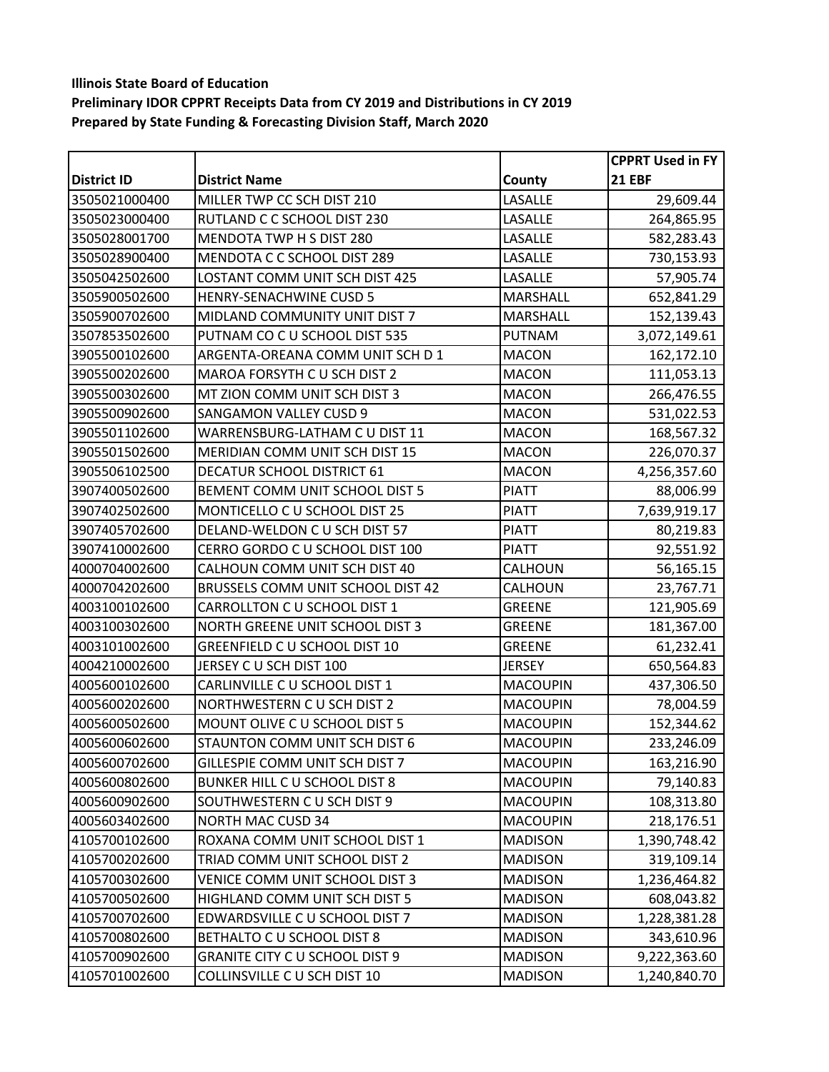|                    |                                       |                 | <b>CPPRT Used in FY</b> |
|--------------------|---------------------------------------|-----------------|-------------------------|
| <b>District ID</b> | <b>District Name</b>                  | County          | <b>21 EBF</b>           |
| 3505021000400      | MILLER TWP CC SCH DIST 210            | LASALLE         | 29,609.44               |
| 3505023000400      | RUTLAND C C SCHOOL DIST 230           | LASALLE         | 264,865.95              |
| 3505028001700      | MENDOTA TWP H S DIST 280              | LASALLE         | 582,283.43              |
| 3505028900400      | MENDOTA C C SCHOOL DIST 289           | LASALLE         | 730,153.93              |
| 3505042502600      | LOSTANT COMM UNIT SCH DIST 425        | LASALLE         | 57,905.74               |
| 3505900502600      | HENRY-SENACHWINE CUSD 5               | MARSHALL        | 652,841.29              |
| 3505900702600      | MIDLAND COMMUNITY UNIT DIST 7         | MARSHALL        | 152,139.43              |
| 3507853502600      | PUTNAM CO C U SCHOOL DIST 535         | <b>PUTNAM</b>   | 3,072,149.61            |
| 3905500102600      | ARGENTA-OREANA COMM UNIT SCH D 1      | <b>MACON</b>    | 162,172.10              |
| 3905500202600      | MAROA FORSYTH C U SCH DIST 2          | <b>MACON</b>    | 111,053.13              |
| 3905500302600      | MT ZION COMM UNIT SCH DIST 3          | <b>MACON</b>    | 266,476.55              |
| 3905500902600      | <b>SANGAMON VALLEY CUSD 9</b>         | <b>MACON</b>    | 531,022.53              |
| 3905501102600      | WARRENSBURG-LATHAM C U DIST 11        | <b>MACON</b>    | 168,567.32              |
| 3905501502600      | MERIDIAN COMM UNIT SCH DIST 15        | <b>MACON</b>    | 226,070.37              |
| 3905506102500      | DECATUR SCHOOL DISTRICT 61            | <b>MACON</b>    | 4,256,357.60            |
| 3907400502600      | BEMENT COMM UNIT SCHOOL DIST 5        | <b>PIATT</b>    | 88,006.99               |
| 3907402502600      | MONTICELLO C U SCHOOL DIST 25         | <b>PIATT</b>    | 7,639,919.17            |
| 3907405702600      | DELAND-WELDON C U SCH DIST 57         | <b>PIATT</b>    | 80,219.83               |
| 3907410002600      | CERRO GORDO C U SCHOOL DIST 100       | <b>PIATT</b>    | 92,551.92               |
| 4000704002600      | CALHOUN COMM UNIT SCH DIST 40         | CALHOUN         | 56,165.15               |
| 4000704202600      | BRUSSELS COMM UNIT SCHOOL DIST 42     | CALHOUN         | 23,767.71               |
| 4003100102600      | CARROLLTON C U SCHOOL DIST 1          | <b>GREENE</b>   | 121,905.69              |
| 4003100302600      | NORTH GREENE UNIT SCHOOL DIST 3       | <b>GREENE</b>   | 181,367.00              |
| 4003101002600      | GREENFIELD C U SCHOOL DIST 10         | <b>GREENE</b>   | 61,232.41               |
| 4004210002600      | JERSEY C U SCH DIST 100               | <b>JERSEY</b>   | 650,564.83              |
| 4005600102600      | CARLINVILLE C U SCHOOL DIST 1         | <b>MACOUPIN</b> | 437,306.50              |
| 4005600202600      | NORTHWESTERN C U SCH DIST 2           | <b>MACOUPIN</b> | 78,004.59               |
| 4005600502600      | MOUNT OLIVE C U SCHOOL DIST 5         | <b>MACOUPIN</b> | 152,344.62              |
| 4005600602600      | STAUNTON COMM UNIT SCH DIST 6         | <b>MACOUPIN</b> | 233,246.09              |
| 4005600702600      | GILLESPIE COMM UNIT SCH DIST 7        | <b>MACOUPIN</b> | 163,216.90              |
| 4005600802600      | BUNKER HILL C U SCHOOL DIST 8         | <b>MACOUPIN</b> | 79,140.83               |
| 4005600902600      | SOUTHWESTERN CU SCH DIST 9            | <b>MACOUPIN</b> | 108,313.80              |
| 4005603402600      | <b>NORTH MAC CUSD 34</b>              | <b>MACOUPIN</b> | 218,176.51              |
| 4105700102600      | ROXANA COMM UNIT SCHOOL DIST 1        | <b>MADISON</b>  | 1,390,748.42            |
| 4105700202600      | TRIAD COMM UNIT SCHOOL DIST 2         | <b>MADISON</b>  | 319,109.14              |
| 4105700302600      | VENICE COMM UNIT SCHOOL DIST 3        | <b>MADISON</b>  | 1,236,464.82            |
| 4105700502600      | HIGHLAND COMM UNIT SCH DIST 5         | <b>MADISON</b>  | 608,043.82              |
| 4105700702600      | EDWARDSVILLE C U SCHOOL DIST 7        | <b>MADISON</b>  | 1,228,381.28            |
| 4105700802600      | BETHALTO C U SCHOOL DIST 8            | <b>MADISON</b>  | 343,610.96              |
| 4105700902600      | <b>GRANITE CITY C U SCHOOL DIST 9</b> | <b>MADISON</b>  | 9,222,363.60            |
| 4105701002600      | COLLINSVILLE C U SCH DIST 10          | <b>MADISON</b>  | 1,240,840.70            |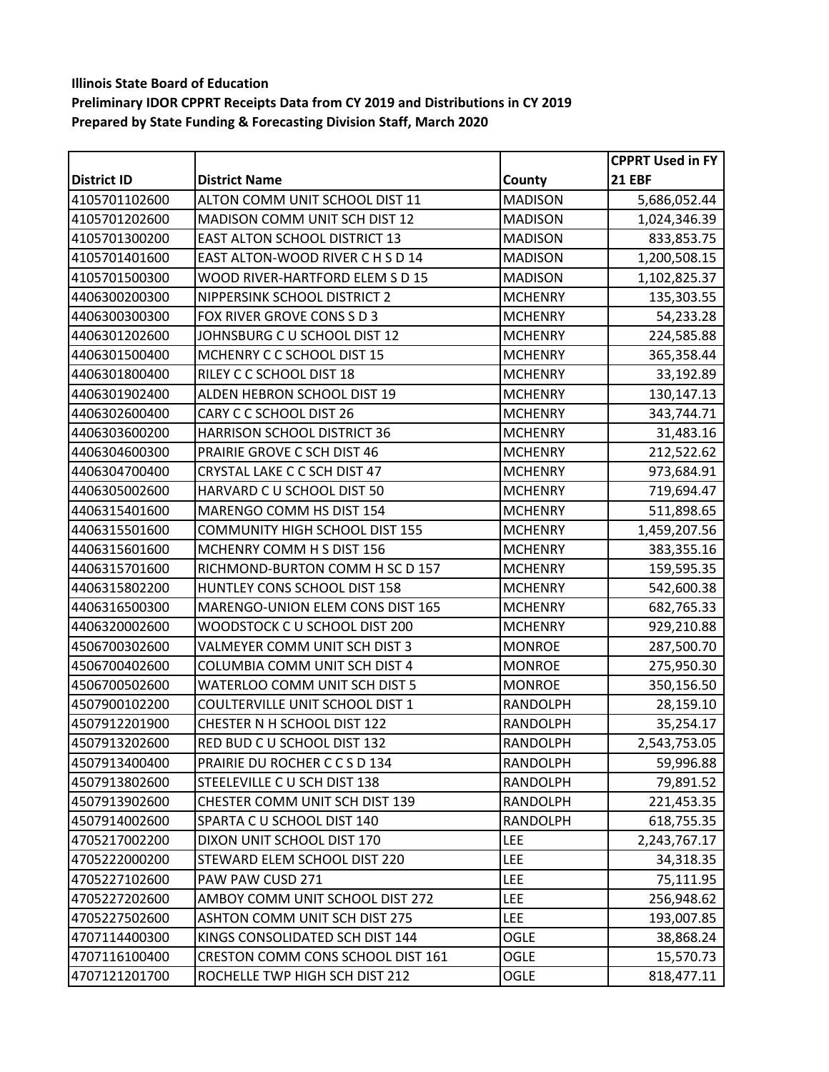|                    |                                       |                 | <b>CPPRT Used in FY</b> |
|--------------------|---------------------------------------|-----------------|-------------------------|
| <b>District ID</b> | <b>District Name</b>                  | County          | <b>21 EBF</b>           |
| 4105701102600      | ALTON COMM UNIT SCHOOL DIST 11        | <b>MADISON</b>  | 5,686,052.44            |
| 4105701202600      | MADISON COMM UNIT SCH DIST 12         | <b>MADISON</b>  | 1,024,346.39            |
| 4105701300200      | <b>EAST ALTON SCHOOL DISTRICT 13</b>  | <b>MADISON</b>  | 833,853.75              |
| 4105701401600      | EAST ALTON-WOOD RIVER C H S D 14      | <b>MADISON</b>  | 1,200,508.15            |
| 4105701500300      | WOOD RIVER-HARTFORD ELEM S D 15       | <b>MADISON</b>  | 1,102,825.37            |
| 4406300200300      | NIPPERSINK SCHOOL DISTRICT 2          | <b>MCHENRY</b>  | 135,303.55              |
| 4406300300300      | FOX RIVER GROVE CONS S D 3            | <b>MCHENRY</b>  | 54,233.28               |
| 4406301202600      | JOHNSBURG C U SCHOOL DIST 12          | <b>MCHENRY</b>  | 224,585.88              |
| 4406301500400      | MCHENRY C C SCHOOL DIST 15            | <b>MCHENRY</b>  | 365,358.44              |
| 4406301800400      | RILEY C C SCHOOL DIST 18              | <b>MCHENRY</b>  | 33,192.89               |
| 4406301902400      | ALDEN HEBRON SCHOOL DIST 19           | <b>MCHENRY</b>  | 130,147.13              |
| 4406302600400      | CARY C C SCHOOL DIST 26               | <b>MCHENRY</b>  | 343,744.71              |
| 4406303600200      | HARRISON SCHOOL DISTRICT 36           | <b>MCHENRY</b>  | 31,483.16               |
| 4406304600300      | PRAIRIE GROVE C SCH DIST 46           | <b>MCHENRY</b>  | 212,522.62              |
| 4406304700400      | CRYSTAL LAKE C C SCH DIST 47          | <b>MCHENRY</b>  | 973,684.91              |
| 4406305002600      | HARVARD C U SCHOOL DIST 50            | <b>MCHENRY</b>  | 719,694.47              |
| 4406315401600      | MARENGO COMM HS DIST 154              | <b>MCHENRY</b>  | 511,898.65              |
| 4406315501600      | <b>COMMUNITY HIGH SCHOOL DIST 155</b> | <b>MCHENRY</b>  | 1,459,207.56            |
| 4406315601600      | MCHENRY COMM H S DIST 156             | <b>MCHENRY</b>  | 383,355.16              |
| 4406315701600      | RICHMOND-BURTON COMM H SC D 157       | <b>MCHENRY</b>  | 159,595.35              |
| 4406315802200      | HUNTLEY CONS SCHOOL DIST 158          | <b>MCHENRY</b>  | 542,600.38              |
| 4406316500300      | MARENGO-UNION ELEM CONS DIST 165      | <b>MCHENRY</b>  | 682,765.33              |
| 4406320002600      | WOODSTOCK C U SCHOOL DIST 200         | <b>MCHENRY</b>  | 929,210.88              |
| 4506700302600      | VALMEYER COMM UNIT SCH DIST 3         | <b>MONROE</b>   | 287,500.70              |
| 4506700402600      | COLUMBIA COMM UNIT SCH DIST 4         | <b>MONROE</b>   | 275,950.30              |
| 4506700502600      | WATERLOO COMM UNIT SCH DIST 5         | <b>MONROE</b>   | 350,156.50              |
| 4507900102200      | COULTERVILLE UNIT SCHOOL DIST 1       | <b>RANDOLPH</b> | 28,159.10               |
| 4507912201900      | CHESTER N H SCHOOL DIST 122           | <b>RANDOLPH</b> | 35,254.17               |
| 4507913202600      | RED BUD C U SCHOOL DIST 132           | <b>RANDOLPH</b> | 2,543,753.05            |
| 4507913400400      | PRAIRIE DU ROCHER C C S D 134         | RANDOLPH        | 59,996.88               |
| 4507913802600      | STEELEVILLE C U SCH DIST 138          | RANDOLPH        | 79,891.52               |
| 4507913902600      | CHESTER COMM UNIT SCH DIST 139        | <b>RANDOLPH</b> | 221,453.35              |
| 4507914002600      | SPARTA C U SCHOOL DIST 140            | <b>RANDOLPH</b> | 618,755.35              |
| 4705217002200      | DIXON UNIT SCHOOL DIST 170            | <b>LEE</b>      | 2,243,767.17            |
| 4705222000200      | STEWARD ELEM SCHOOL DIST 220          | <b>LEE</b>      | 34,318.35               |
| 4705227102600      | PAW PAW CUSD 271                      | <b>LEE</b>      | 75,111.95               |
| 4705227202600      | AMBOY COMM UNIT SCHOOL DIST 272       | <b>LEE</b>      | 256,948.62              |
| 4705227502600      | <b>ASHTON COMM UNIT SCH DIST 275</b>  | <b>LEE</b>      | 193,007.85              |
| 4707114400300      | KINGS CONSOLIDATED SCH DIST 144       | OGLE            | 38,868.24               |
| 4707116100400      | CRESTON COMM CONS SCHOOL DIST 161     | <b>OGLE</b>     | 15,570.73               |
| 4707121201700      | ROCHELLE TWP HIGH SCH DIST 212        | <b>OGLE</b>     | 818,477.11              |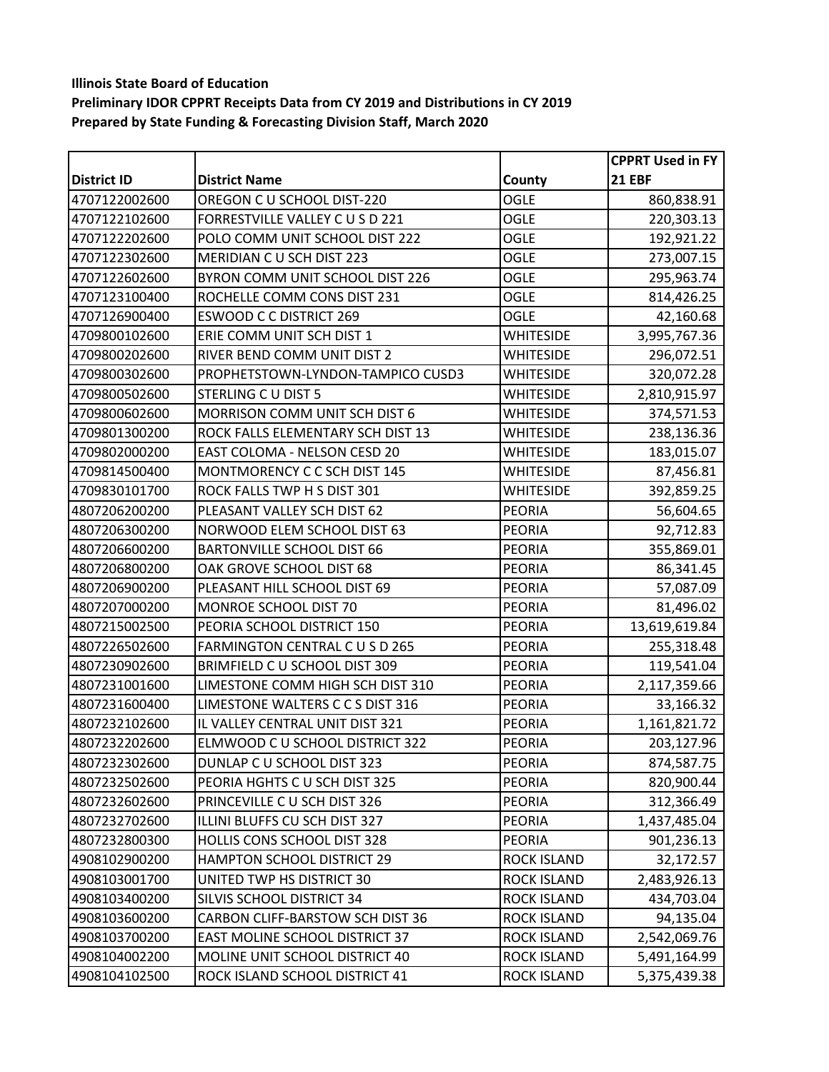|                    |                                   |                    | <b>CPPRT Used in FY</b> |
|--------------------|-----------------------------------|--------------------|-------------------------|
| <b>District ID</b> | <b>District Name</b>              | County             | <b>21 EBF</b>           |
| 4707122002600      | OREGON C U SCHOOL DIST-220        | <b>OGLE</b>        | 860,838.91              |
| 4707122102600      | FORRESTVILLE VALLEY C U S D 221   | OGLE               | 220,303.13              |
| 4707122202600      | POLO COMM UNIT SCHOOL DIST 222    | <b>OGLE</b>        | 192,921.22              |
| 4707122302600      | MERIDIAN CU SCH DIST 223          | <b>OGLE</b>        | 273,007.15              |
| 4707122602600      | BYRON COMM UNIT SCHOOL DIST 226   | <b>OGLE</b>        | 295,963.74              |
| 4707123100400      | ROCHELLE COMM CONS DIST 231       | <b>OGLE</b>        | 814,426.25              |
| 4707126900400      | <b>ESWOOD C C DISTRICT 269</b>    | <b>OGLE</b>        | 42,160.68               |
| 4709800102600      | ERIE COMM UNIT SCH DIST 1         | <b>WHITESIDE</b>   | 3,995,767.36            |
| 4709800202600      | RIVER BEND COMM UNIT DIST 2       | <b>WHITESIDE</b>   | 296,072.51              |
| 4709800302600      | PROPHETSTOWN-LYNDON-TAMPICO CUSD3 | WHITESIDE          | 320,072.28              |
| 4709800502600      | STERLING CU DIST 5                | <b>WHITESIDE</b>   | 2,810,915.97            |
| 4709800602600      | MORRISON COMM UNIT SCH DIST 6     | <b>WHITESIDE</b>   | 374,571.53              |
| 4709801300200      | ROCK FALLS ELEMENTARY SCH DIST 13 | <b>WHITESIDE</b>   | 238,136.36              |
| 4709802000200      | EAST COLOMA - NELSON CESD 20      | <b>WHITESIDE</b>   | 183,015.07              |
| 4709814500400      | MONTMORENCY C C SCH DIST 145      | <b>WHITESIDE</b>   | 87,456.81               |
| 4709830101700      | ROCK FALLS TWP H S DIST 301       | <b>WHITESIDE</b>   | 392,859.25              |
| 4807206200200      | PLEASANT VALLEY SCH DIST 62       | <b>PEORIA</b>      | 56,604.65               |
| 4807206300200      | NORWOOD ELEM SCHOOL DIST 63       | <b>PEORIA</b>      | 92,712.83               |
| 4807206600200      | <b>BARTONVILLE SCHOOL DIST 66</b> | <b>PEORIA</b>      | 355,869.01              |
| 4807206800200      | OAK GROVE SCHOOL DIST 68          | <b>PEORIA</b>      | 86,341.45               |
| 4807206900200      | PLEASANT HILL SCHOOL DIST 69      | <b>PEORIA</b>      | 57,087.09               |
| 4807207000200      | MONROE SCHOOL DIST 70             | <b>PEORIA</b>      | 81,496.02               |
| 4807215002500      | PEORIA SCHOOL DISTRICT 150        | <b>PEORIA</b>      | 13,619,619.84           |
| 4807226502600      | FARMINGTON CENTRAL C U S D 265    | <b>PEORIA</b>      | 255,318.48              |
| 4807230902600      | BRIMFIELD C U SCHOOL DIST 309     | <b>PEORIA</b>      | 119,541.04              |
| 4807231001600      | LIMESTONE COMM HIGH SCH DIST 310  | <b>PEORIA</b>      | 2,117,359.66            |
| 4807231600400      | LIMESTONE WALTERS C C S DIST 316  | <b>PEORIA</b>      | 33,166.32               |
| 4807232102600      | IL VALLEY CENTRAL UNIT DIST 321   | <b>PEORIA</b>      | 1,161,821.72            |
| 4807232202600      | ELMWOOD C U SCHOOL DISTRICT 322   | <b>PEORIA</b>      | 203,127.96              |
| 4807232302600      | DUNLAP C U SCHOOL DIST 323        | PEORIA             | 874,587.75              |
| 4807232502600      | PEORIA HGHTS C U SCH DIST 325     | <b>PEORIA</b>      | 820,900.44              |
| 4807232602600      | PRINCEVILLE C U SCH DIST 326      | <b>PEORIA</b>      | 312,366.49              |
| 4807232702600      | ILLINI BLUFFS CU SCH DIST 327     | <b>PEORIA</b>      | 1,437,485.04            |
| 4807232800300      | HOLLIS CONS SCHOOL DIST 328       | <b>PEORIA</b>      | 901,236.13              |
| 4908102900200      | <b>HAMPTON SCHOOL DISTRICT 29</b> | <b>ROCK ISLAND</b> | 32,172.57               |
| 4908103001700      | UNITED TWP HS DISTRICT 30         | <b>ROCK ISLAND</b> | 2,483,926.13            |
| 4908103400200      | SILVIS SCHOOL DISTRICT 34         | <b>ROCK ISLAND</b> | 434,703.04              |
| 4908103600200      | CARBON CLIFF-BARSTOW SCH DIST 36  | <b>ROCK ISLAND</b> | 94,135.04               |
| 4908103700200      | EAST MOLINE SCHOOL DISTRICT 37    | <b>ROCK ISLAND</b> | 2,542,069.76            |
| 4908104002200      | MOLINE UNIT SCHOOL DISTRICT 40    | <b>ROCK ISLAND</b> | 5,491,164.99            |
| 4908104102500      | ROCK ISLAND SCHOOL DISTRICT 41    | <b>ROCK ISLAND</b> | 5,375,439.38            |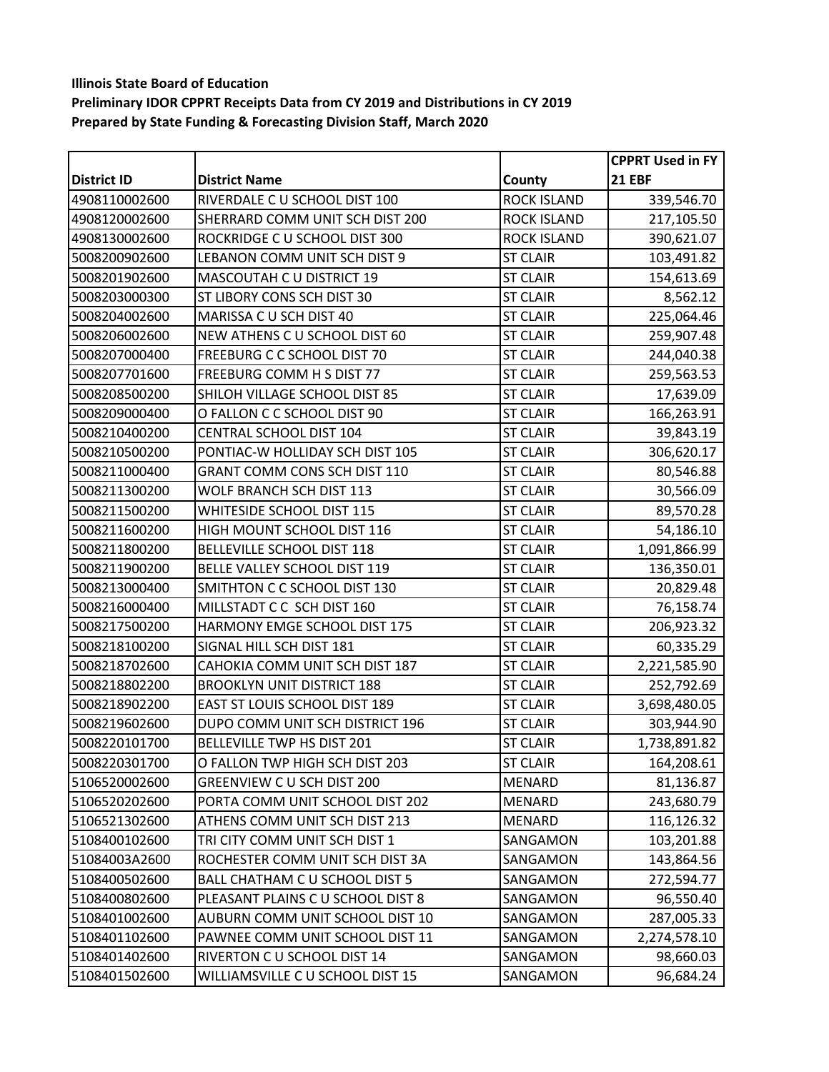|                    |                                    |                    | <b>CPPRT Used in FY</b> |
|--------------------|------------------------------------|--------------------|-------------------------|
| <b>District ID</b> | <b>District Name</b>               | County             | <b>21 EBF</b>           |
| 4908110002600      | RIVERDALE C U SCHOOL DIST 100      | <b>ROCK ISLAND</b> | 339,546.70              |
| 4908120002600      | SHERRARD COMM UNIT SCH DIST 200    | <b>ROCK ISLAND</b> | 217,105.50              |
| 4908130002600      | ROCKRIDGE C U SCHOOL DIST 300      | <b>ROCK ISLAND</b> | 390,621.07              |
| 5008200902600      | LEBANON COMM UNIT SCH DIST 9       | <b>ST CLAIR</b>    | 103,491.82              |
| 5008201902600      | <b>MASCOUTAH C U DISTRICT 19</b>   | <b>ST CLAIR</b>    | 154,613.69              |
| 5008203000300      | <b>ST LIBORY CONS SCH DIST 30</b>  | <b>ST CLAIR</b>    | 8,562.12                |
| 5008204002600      | MARISSA C U SCH DIST 40            | <b>ST CLAIR</b>    | 225,064.46              |
| 5008206002600      | NEW ATHENS CU SCHOOL DIST 60       | <b>ST CLAIR</b>    | 259,907.48              |
| 5008207000400      | <b>FREEBURG C C SCHOOL DIST 70</b> | <b>ST CLAIR</b>    | 244,040.38              |
| 5008207701600      | FREEBURG COMM H S DIST 77          | <b>ST CLAIR</b>    | 259,563.53              |
| 5008208500200      | SHILOH VILLAGE SCHOOL DIST 85      | <b>ST CLAIR</b>    | 17,639.09               |
| 5008209000400      | O FALLON C C SCHOOL DIST 90        | <b>ST CLAIR</b>    | 166,263.91              |
| 5008210400200      | CENTRAL SCHOOL DIST 104            | <b>ST CLAIR</b>    | 39,843.19               |
| 5008210500200      | PONTIAC-W HOLLIDAY SCH DIST 105    | <b>ST CLAIR</b>    | 306,620.17              |
| 5008211000400      | GRANT COMM CONS SCH DIST 110       | <b>ST CLAIR</b>    | 80,546.88               |
| 5008211300200      | WOLF BRANCH SCH DIST 113           | <b>ST CLAIR</b>    | 30,566.09               |
| 5008211500200      | WHITESIDE SCHOOL DIST 115          | <b>ST CLAIR</b>    | 89,570.28               |
| 5008211600200      | HIGH MOUNT SCHOOL DIST 116         | <b>ST CLAIR</b>    | 54,186.10               |
| 5008211800200      | <b>BELLEVILLE SCHOOL DIST 118</b>  | <b>ST CLAIR</b>    | 1,091,866.99            |
| 5008211900200      | BELLE VALLEY SCHOOL DIST 119       | <b>ST CLAIR</b>    | 136,350.01              |
| 5008213000400      | SMITHTON C C SCHOOL DIST 130       | <b>ST CLAIR</b>    | 20,829.48               |
| 5008216000400      | MILLSTADT C C SCH DIST 160         | <b>ST CLAIR</b>    | 76,158.74               |
| 5008217500200      | HARMONY EMGE SCHOOL DIST 175       | <b>ST CLAIR</b>    | 206,923.32              |
| 5008218100200      | SIGNAL HILL SCH DIST 181           | <b>ST CLAIR</b>    | 60,335.29               |
| 5008218702600      | CAHOKIA COMM UNIT SCH DIST 187     | <b>ST CLAIR</b>    | 2,221,585.90            |
| 5008218802200      | <b>BROOKLYN UNIT DISTRICT 188</b>  | <b>ST CLAIR</b>    | 252,792.69              |
| 5008218902200      | EAST ST LOUIS SCHOOL DIST 189      | <b>ST CLAIR</b>    | 3,698,480.05            |
| 5008219602600      | DUPO COMM UNIT SCH DISTRICT 196    | <b>ST CLAIR</b>    | 303,944.90              |
| 5008220101700      | BELLEVILLE TWP HS DIST 201         | <b>ST CLAIR</b>    | 1,738,891.82            |
| 5008220301700      | O FALLON TWP HIGH SCH DIST 203     | <b>ST CLAIR</b>    | 164,208.61              |
| 5106520002600      | GREENVIEW CU SCH DIST 200          | <b>MENARD</b>      | 81,136.87               |
| 5106520202600      | PORTA COMM UNIT SCHOOL DIST 202    | MENARD             | 243,680.79              |
| 5106521302600      | ATHENS COMM UNIT SCH DIST 213      | MENARD             | 116,126.32              |
| 5108400102600      | TRI CITY COMM UNIT SCH DIST 1      | SANGAMON           | 103,201.88              |
| 51084003A2600      | ROCHESTER COMM UNIT SCH DIST 3A    | SANGAMON           | 143,864.56              |
| 5108400502600      | BALL CHATHAM C U SCHOOL DIST 5     | SANGAMON           | 272,594.77              |
| 5108400802600      | PLEASANT PLAINS CU SCHOOL DIST 8   | <b>SANGAMON</b>    | 96,550.40               |
| 5108401002600      | AUBURN COMM UNIT SCHOOL DIST 10    | SANGAMON           | 287,005.33              |
| 5108401102600      | PAWNEE COMM UNIT SCHOOL DIST 11    | SANGAMON           | 2,274,578.10            |
| 5108401402600      | RIVERTON C U SCHOOL DIST 14        | SANGAMON           | 98,660.03               |
| 5108401502600      | WILLIAMSVILLE C U SCHOOL DIST 15   | SANGAMON           | 96,684.24               |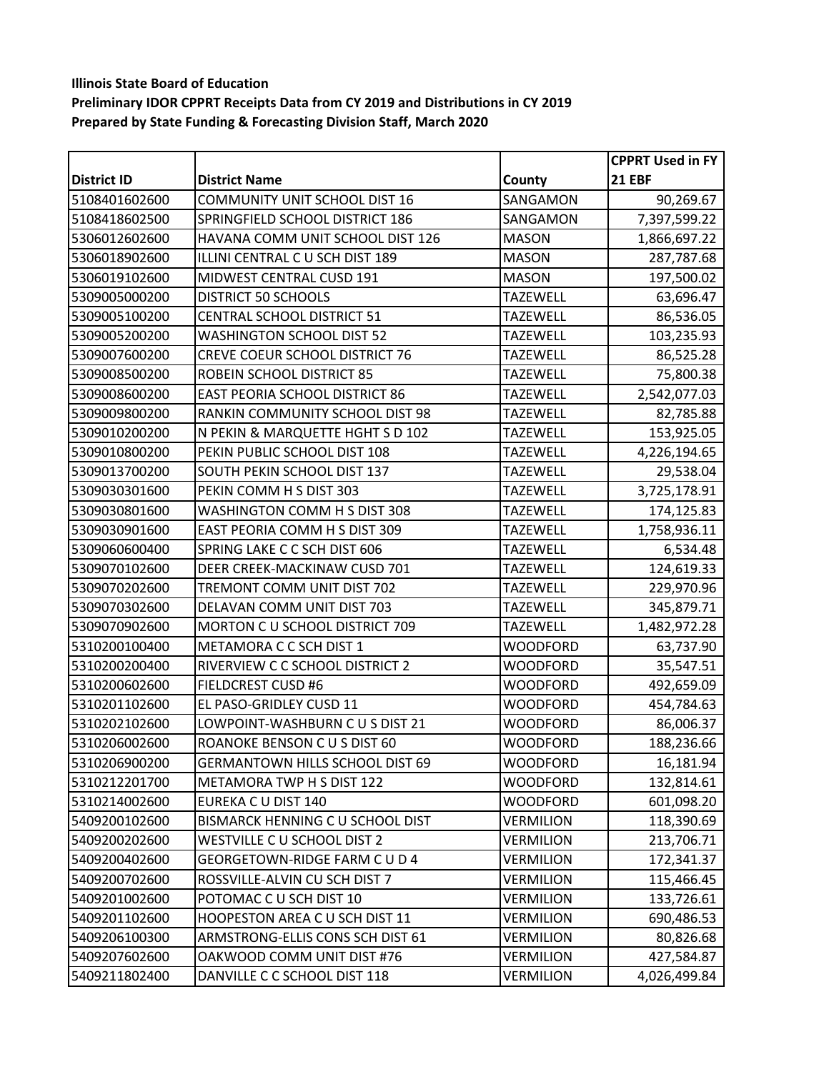|                    |                                       |                  | <b>CPPRT Used in FY</b> |
|--------------------|---------------------------------------|------------------|-------------------------|
| <b>District ID</b> | <b>District Name</b>                  | County           | <b>21 EBF</b>           |
| 5108401602600      | <b>COMMUNITY UNIT SCHOOL DIST 16</b>  | SANGAMON         | 90,269.67               |
| 5108418602500      | SPRINGFIELD SCHOOL DISTRICT 186       | SANGAMON         | 7,397,599.22            |
| 5306012602600      | HAVANA COMM UNIT SCHOOL DIST 126      | <b>MASON</b>     | 1,866,697.22            |
| 5306018902600      | ILLINI CENTRAL C U SCH DIST 189       | <b>MASON</b>     | 287,787.68              |
| 5306019102600      | MIDWEST CENTRAL CUSD 191              | <b>MASON</b>     | 197,500.02              |
| 5309005000200      | <b>DISTRICT 50 SCHOOLS</b>            | <b>TAZEWELL</b>  | 63,696.47               |
| 5309005100200      | CENTRAL SCHOOL DISTRICT 51            | <b>TAZEWELL</b>  | 86,536.05               |
| 5309005200200      | <b>WASHINGTON SCHOOL DIST 52</b>      | <b>TAZEWELL</b>  | 103,235.93              |
| 5309007600200      | <b>CREVE COEUR SCHOOL DISTRICT 76</b> | <b>TAZEWELL</b>  | 86,525.28               |
| 5309008500200      | ROBEIN SCHOOL DISTRICT 85             | <b>TAZEWELL</b>  | 75,800.38               |
| 5309008600200      | EAST PEORIA SCHOOL DISTRICT 86        | <b>TAZEWELL</b>  | 2,542,077.03            |
| 5309009800200      | RANKIN COMMUNITY SCHOOL DIST 98       | <b>TAZEWELL</b>  | 82,785.88               |
| 5309010200200      | N PEKIN & MARQUETTE HGHT S D 102      | <b>TAZEWELL</b>  | 153,925.05              |
| 5309010800200      | PEKIN PUBLIC SCHOOL DIST 108          | <b>TAZEWELL</b>  | 4,226,194.65            |
| 5309013700200      | SOUTH PEKIN SCHOOL DIST 137           | <b>TAZEWELL</b>  | 29,538.04               |
| 5309030301600      | PEKIN COMM H S DIST 303               | <b>TAZEWELL</b>  | 3,725,178.91            |
| 5309030801600      | WASHINGTON COMM H S DIST 308          | <b>TAZEWELL</b>  | 174,125.83              |
| 5309030901600      | EAST PEORIA COMM H S DIST 309         | <b>TAZEWELL</b>  | 1,758,936.11            |
| 5309060600400      | SPRING LAKE C C SCH DIST 606          | <b>TAZEWELL</b>  | 6,534.48                |
| 5309070102600      | DEER CREEK-MACKINAW CUSD 701          | <b>TAZEWELL</b>  | 124,619.33              |
| 5309070202600      | TREMONT COMM UNIT DIST 702            | <b>TAZEWELL</b>  | 229,970.96              |
| 5309070302600      | DELAVAN COMM UNIT DIST 703            | <b>TAZEWELL</b>  | 345,879.71              |
| 5309070902600      | MORTON C U SCHOOL DISTRICT 709        | <b>TAZEWELL</b>  | 1,482,972.28            |
| 5310200100400      | METAMORA C C SCH DIST 1               | <b>WOODFORD</b>  | 63,737.90               |
| 5310200200400      | RIVERVIEW C C SCHOOL DISTRICT 2       | WOODFORD         | 35,547.51               |
| 5310200602600      | <b>FIELDCREST CUSD #6</b>             | WOODFORD         | 492,659.09              |
| 5310201102600      | EL PASO-GRIDLEY CUSD 11               | <b>WOODFORD</b>  | 454,784.63              |
| 5310202102600      | LOWPOINT-WASHBURN C U S DIST 21       | <b>WOODFORD</b>  | 86,006.37               |
| 5310206002600      | ROANOKE BENSON C U S DIST 60          | <b>WOODFORD</b>  | 188,236.66              |
| 5310206900200      | GERMANTOWN HILLS SCHOOL DIST 69       | <b>WOODFORD</b>  | 16,181.94               |
| 5310212201700      | METAMORA TWP H S DIST 122             | <b>WOODFORD</b>  | 132,814.61              |
| 5310214002600      | EUREKA C U DIST 140                   | <b>WOODFORD</b>  | 601,098.20              |
| 5409200102600      | BISMARCK HENNING C U SCHOOL DIST      | VERMILION        | 118,390.69              |
| 5409200202600      | WESTVILLE C U SCHOOL DIST 2           | <b>VERMILION</b> | 213,706.71              |
| 5409200402600      | GEORGETOWN-RIDGE FARM C U D 4         | <b>VERMILION</b> | 172,341.37              |
| 5409200702600      | ROSSVILLE-ALVIN CU SCH DIST 7         | <b>VERMILION</b> | 115,466.45              |
| 5409201002600      | POTOMAC C U SCH DIST 10               | <b>VERMILION</b> | 133,726.61              |
| 5409201102600      | HOOPESTON AREA C U SCH DIST 11        | <b>VERMILION</b> | 690,486.53              |
| 5409206100300      | ARMSTRONG-ELLIS CONS SCH DIST 61      | <b>VERMILION</b> | 80,826.68               |
| 5409207602600      | OAKWOOD COMM UNIT DIST #76            | <b>VERMILION</b> | 427,584.87              |
| 5409211802400      | DANVILLE C C SCHOOL DIST 118          | VERMILION        | 4,026,499.84            |